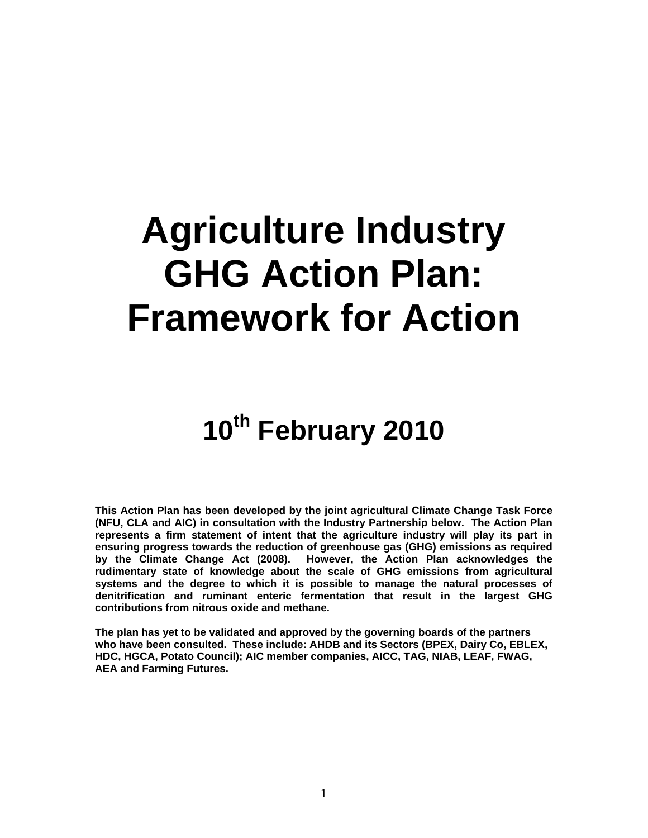# **Agriculture Industry GHG Action Plan: Framework for Action**

# **10th February 2010**

**This Action Plan has been developed by the joint agricultural Climate Change Task Force (NFU, CLA and AIC) in consultation with the Industry Partnership below. The Action Plan represents a firm statement of intent that the agriculture industry will play its part in ensuring progress towards the reduction of greenhouse gas (GHG) emissions as required by the Climate Change Act (2008). However, the Action Plan acknowledges the rudimentary state of knowledge about the scale of GHG emissions from agricultural systems and the degree to which it is possible to manage the natural processes of denitrification and ruminant enteric fermentation that result in the largest GHG contributions from nitrous oxide and methane.** 

**The plan has yet to be validated and approved by the governing boards of the partners who have been consulted. These include: AHDB and its Sectors (BPEX, Dairy Co, EBLEX, HDC, HGCA, Potato Council); AIC member companies, AICC, TAG, NIAB, LEAF, FWAG, AEA and Farming Futures.**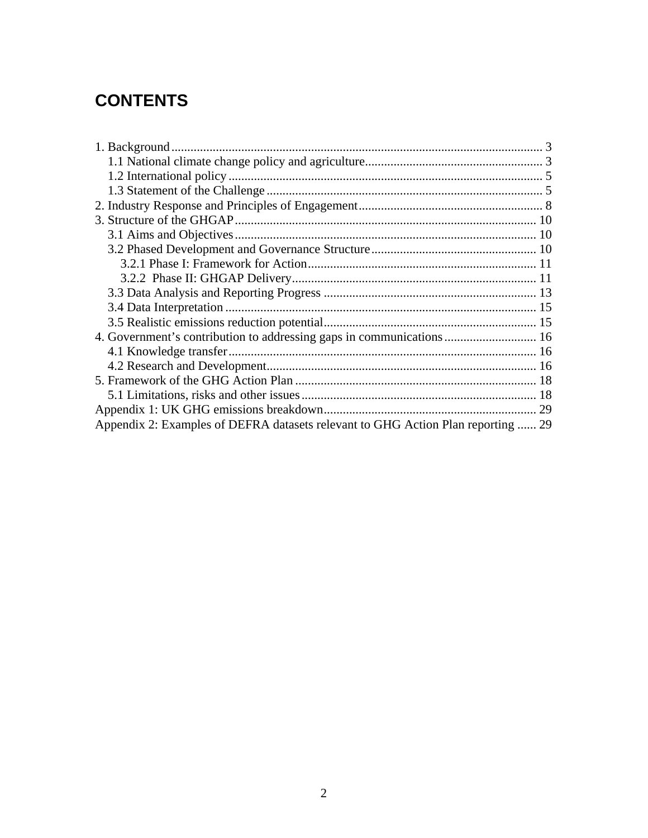# **CONTENTS**

| 4. Government's contribution to addressing gaps in communications  16            |  |
|----------------------------------------------------------------------------------|--|
|                                                                                  |  |
|                                                                                  |  |
|                                                                                  |  |
|                                                                                  |  |
|                                                                                  |  |
| Appendix 2: Examples of DEFRA datasets relevant to GHG Action Plan reporting  29 |  |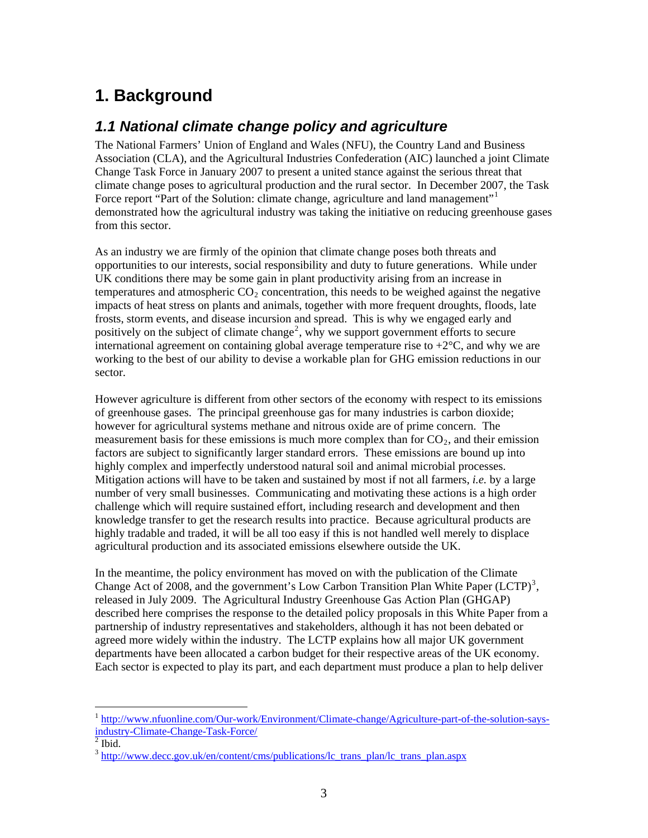# <span id="page-2-0"></span>**1. Background**

## <span id="page-2-1"></span>*1.1 National climate change policy and agriculture*

The National Farmers' Union of England and Wales (NFU), the Country Land and Business Association (CLA), and the Agricultural Industries Confederation (AIC) launched a joint Climate Change Task Force in January 2007 to present a united stance against the serious threat that climate change poses to agricultural production and the rural sector. In December 2007, the Task Force report "Part of the Solution: climate change, agriculture and land management"<sup>[1](#page-2-2)</sup> demonstrated how the agricultural industry was taking the initiative on reducing greenhouse gases from this sector.

As an industry we are firmly of the opinion that climate change poses both threats and opportunities to our interests, social responsibility and duty to future generations. While under UK conditions there may be some gain in plant productivity arising from an increase in temperatures and atmospheric  $CO<sub>2</sub>$  concentration, this needs to be weighed against the negative impacts of heat stress on plants and animals, together with more frequent droughts, floods, late frosts, storm events, and disease incursion and spread. This is why we engaged early and positively on the subject of climate change<sup>[2](#page-2-3)</sup>, why we support government efforts to secure international agreement on containing global average temperature rise to  $+2^{\circ}C$ , and why we are working to the best of our ability to devise a workable plan for GHG emission reductions in our sector.

However agriculture is different from other sectors of the economy with respect to its emissions of greenhouse gases. The principal greenhouse gas for many industries is carbon dioxide; however for agricultural systems methane and nitrous oxide are of prime concern. The measurement basis for these emissions is much more complex than for  $CO<sub>2</sub>$ , and their emission factors are subject to significantly larger standard errors. These emissions are bound up into highly complex and imperfectly understood natural soil and animal microbial processes. Mitigation actions will have to be taken and sustained by most if not all farmers, *i.e.* by a large number of very small businesses. Communicating and motivating these actions is a high order challenge which will require sustained effort, including research and development and then knowledge transfer to get the research results into practice. Because agricultural products are highly tradable and traded, it will be all too easy if this is not handled well merely to displace agricultural production and its associated emissions elsewhere outside the UK.

In the meantime, the policy environment has moved on with the publication of the Climate Change Act of 2008, and the government's Low Carbon Transition Plan White Paper  $(LCTP)^3$  $(LCTP)^3$ , released in July 2009. The Agricultural Industry Greenhouse Gas Action Plan (GHGAP) described here comprises the response to the detailed policy proposals in this White Paper from a partnership of industry representatives and stakeholders, although it has not been debated or agreed more widely within the industry. The LCTP explains how all major UK government departments have been allocated a carbon budget for their respective areas of the UK economy. Each sector is expected to play its part, and each department must produce a plan to help deliver

<span id="page-2-2"></span><sup>&</sup>lt;sup>1</sup> [http://www.nfuonline.com/Our-work/Environment/Climate-change/Agriculture-part-of-the-solution-says](http://www.nfuonline.com/Our-work/Environment/Climate-change/Agriculture-part-of-the-solution-says-industry-Climate-Change-Task-Force/)[industry-Climate-Change-Task-Force/](http://www.nfuonline.com/Our-work/Environment/Climate-change/Agriculture-part-of-the-solution-says-industry-Climate-Change-Task-Force/) [2](http://www.nfuonline.com/Our-work/Environment/Climate-change/Agriculture-part-of-the-solution-says-industry-Climate-Change-Task-Force/)

<span id="page-2-3"></span> $\overline{\text{2}}$  Ibid.

<span id="page-2-4"></span><sup>&</sup>lt;sup>3</sup> [http://www.decc.gov.uk/en/content/cms/publications/lc\\_trans\\_plan/lc\\_trans\\_plan.aspx](http://www.decc.gov.uk/en/content/cms/publications/lc_trans_plan/lc_trans_plan.aspx)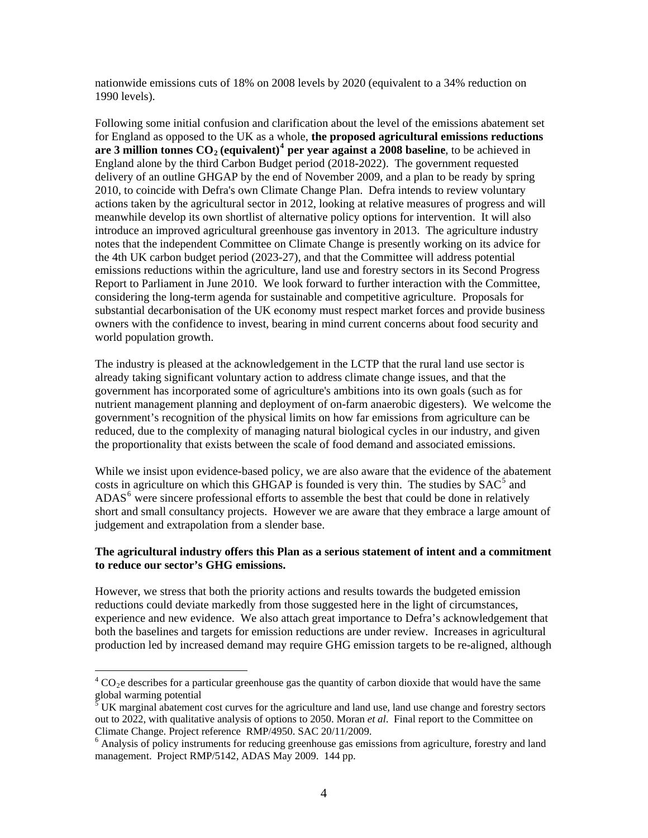nationwide emissions cuts of 18% on 2008 levels by 2020 (equivalent to a 34% reduction on 1990 levels).

Following some initial confusion and clarification about the level of the emissions abatement set for England as opposed to the UK as a whole, **the proposed agricultural emissions reductions**  are 3 million tonnes  $CO_2$  (equivalent)<sup>[4](#page-3-0)</sup> per year against a 2008 baseline, to be achieved in England alone by the third Carbon Budget period (2018-2022). The government requested delivery of an outline GHGAP by the end of November 2009, and a plan to be ready by spring 2010, to coincide with Defra's own Climate Change Plan. Defra intends to review voluntary actions taken by the agricultural sector in 2012, looking at relative measures of progress and will meanwhile develop its own shortlist of alternative policy options for intervention. It will also introduce an improved agricultural greenhouse gas inventory in 2013. The agriculture industry notes that the independent Committee on Climate Change is presently working on its advice for the 4th UK carbon budget period (2023-27), and that the Committee will address potential emissions reductions within the agriculture, land use and forestry sectors in its Second Progress Report to Parliament in June 2010. We look forward to further interaction with the Committee, considering the long-term agenda for sustainable and competitive agriculture. Proposals for substantial decarbonisation of the UK economy must respect market forces and provide business owners with the confidence to invest, bearing in mind current concerns about food security and world population growth.

The industry is pleased at the acknowledgement in the LCTP that the rural land use sector is already taking significant voluntary action to address climate change issues, and that the government has incorporated some of agriculture's ambitions into its own goals (such as for nutrient management planning and deployment of on-farm anaerobic digesters). We welcome the government's recognition of the physical limits on how far emissions from agriculture can be reduced, due to the complexity of managing natural biological cycles in our industry, and given the proportionality that exists between the scale of food demand and associated emissions.

While we insist upon evidence-based policy, we are also aware that the evidence of the abatement costs in agriculture on which this GHGAP is founded is very thin. The studies by  $SAC<sup>5</sup>$  $SAC<sup>5</sup>$  $SAC<sup>5</sup>$  and ADAS<sup>[6](#page-3-2)</sup> were sincere professional efforts to assemble the best that could be done in relatively short and small consultancy projects. However we are aware that they embrace a large amount of judgement and extrapolation from a slender base.

#### **The agricultural industry offers this Plan as a serious statement of intent and a commitment to reduce our sector's GHG emissions.**

However, we stress that both the priority actions and results towards the budgeted emission reductions could deviate markedly from those suggested here in the light of circumstances, experience and new evidence. We also attach great importance to Defra's acknowledgement that both the baselines and targets for emission reductions are under review. Increases in agricultural production led by increased demand may require GHG emission targets to be re-aligned, although

<span id="page-3-0"></span> ${}^{4}$  CO<sub>2</sub>e describes for a particular greenhouse gas the quantity of carbon dioxide that would have the same global warming potential

<span id="page-3-1"></span> $5$  UK marginal abatement cost curves for the agriculture and land use, land use change and forestry sectors out to 2022, with qualitative analysis of options to 2050. Moran *et al*. Final report to the Committee on Climate Change. Project reference RMP/4950. SAC 20/11/2009.

<span id="page-3-2"></span><sup>&</sup>lt;sup>6</sup> Analysis of policy instruments for reducing greenhouse gas emissions from agriculture, forestry and land management. Project RMP/5142, ADAS May 2009. 144 pp.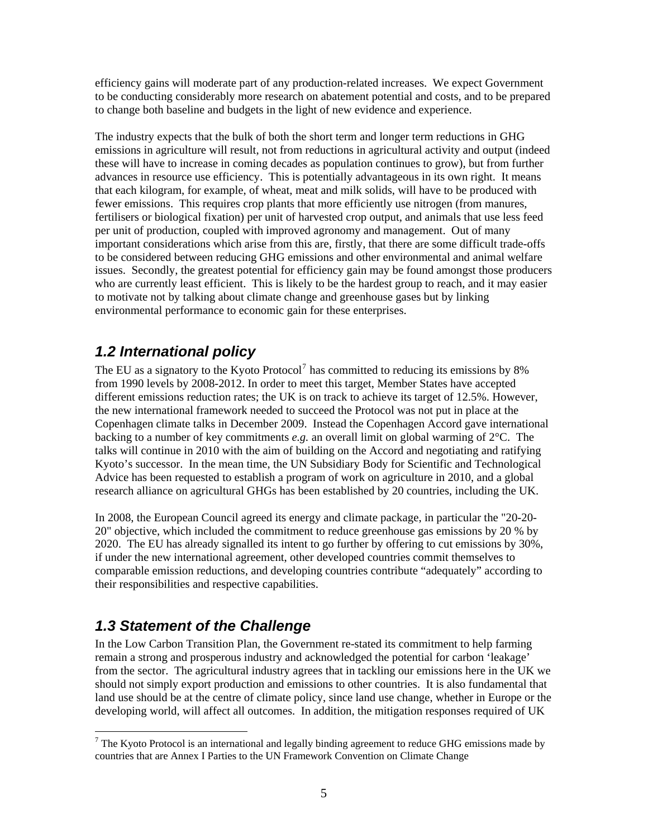efficiency gains will moderate part of any production-related increases. We expect Government to be conducting considerably more research on abatement potential and costs, and to be prepared to change both baseline and budgets in the light of new evidence and experience.

The industry expects that the bulk of both the short term and longer term reductions in GHG emissions in agriculture will result, not from reductions in agricultural activity and output (indeed these will have to increase in coming decades as population continues to grow), but from further advances in resource use efficiency. This is potentially advantageous in its own right. It means that each kilogram, for example, of wheat, meat and milk solids, will have to be produced with fewer emissions. This requires crop plants that more efficiently use nitrogen (from manures, fertilisers or biological fixation) per unit of harvested crop output, and animals that use less feed per unit of production, coupled with improved agronomy and management. Out of many important considerations which arise from this are, firstly, that there are some difficult trade-offs to be considered between reducing GHG emissions and other environmental and animal welfare issues. Secondly, the greatest potential for efficiency gain may be found amongst those producers who are currently least efficient. This is likely to be the hardest group to reach, and it may easier to motivate not by talking about climate change and greenhouse gases but by linking environmental performance to economic gain for these enterprises.

## <span id="page-4-0"></span>*1.2 International policy*

The EU as a signatory to the Kyoto Protocol<sup>[7](#page-4-2)</sup> has committed to reducing its emissions by 8% from 1990 levels by 2008-2012. In order to meet this target, Member States have accepted different emissions reduction rates; the UK is on track to achieve its target of 12.5%. However, the new international framework needed to succeed the Protocol was not put in place at the Copenhagen climate talks in December 2009. Instead the Copenhagen Accord gave international backing to a number of key commitments *e.g.* an overall limit on global warming of 2°C. The talks will continue in 2010 with the aim of building on the Accord and negotiating and ratifying Kyoto's successor. In the mean time, the UN Subsidiary Body for Scientific and Technological Advice has been requested to establish a program of work on agriculture in 2010, and a global research alliance on agricultural GHGs has been established by 20 countries, including the UK.

In 2008, the European Council agreed its energy and climate package, in particular the "20-20- 20" objective, which included the commitment to reduce greenhouse gas emissions by 20 % by 2020. The EU has already signalled its intent to go further by offering to cut emissions by 30%, if under the new international agreement, other developed countries commit themselves to comparable emission reductions, and developing countries contribute "adequately" according to their responsibilities and respective capabilities.

## <span id="page-4-1"></span>*1.3 Statement of the Challenge*

 $\overline{a}$ 

In the Low Carbon Transition Plan, the Government re-stated its commitment to help farming remain a strong and prosperous industry and acknowledged the potential for carbon 'leakage' from the sector. The agricultural industry agrees that in tackling our emissions here in the UK we should not simply export production and emissions to other countries. It is also fundamental that land use should be at the centre of climate policy, since land use change, whether in Europe or the developing world, will affect all outcomes. In addition, the mitigation responses required of UK

<span id="page-4-2"></span> $<sup>7</sup>$  The Kyoto Protocol is an international and legally binding agreement to reduce GHG emissions made by</sup> countries that are Annex I Parties to the UN Framework Convention on Climate Change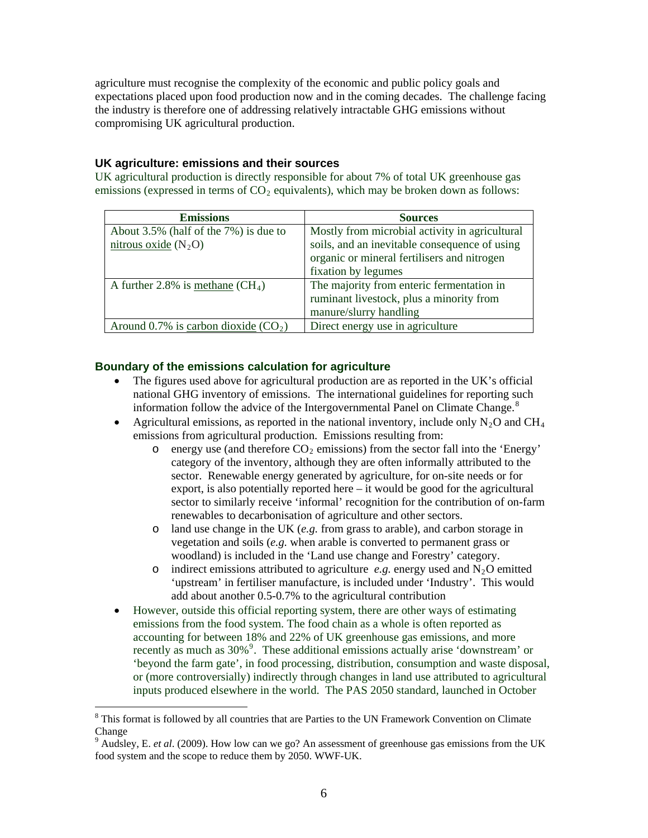agriculture must recognise the complexity of the economic and public policy goals and expectations placed upon food production now and in the coming decades. The challenge facing the industry is therefore one of addressing relatively intractable GHG emissions without compromising UK agricultural production.

#### **UK agriculture: emissions and their sources**

UK agricultural production is directly responsible for about 7% of total UK greenhouse gas emissions (expressed in terms of  $CO<sub>2</sub>$  equivalents), which may be broken down as follows:

| <b>Emissions</b>                       | <b>Sources</b>                                 |
|----------------------------------------|------------------------------------------------|
| About 3.5% (half of the 7%) is due to  | Mostly from microbial activity in agricultural |
| nitrous oxide $(N_2O)$                 | soils, and an inevitable consequence of using  |
|                                        | organic or mineral fertilisers and nitrogen    |
|                                        | fixation by legumes                            |
| A further 2.8% is methane $(CH_4)$     | The majority from enteric fermentation in      |
|                                        | ruminant livestock, plus a minority from       |
|                                        | manure/slurry handling                         |
| Around 0.7% is carbon dioxide $(CO_2)$ | Direct energy use in agriculture               |

#### **Boundary of the emissions calculation for agriculture**

- The figures used above for agricultural production are as reported in the UK's official national GHG inventory of emissions. The international guidelines for reporting such information follow the advice of the Intergovernmental Panel on Climate Change.<sup>[8](#page-5-0)</sup>
- Agricultural emissions, as reported in the national inventory, include only  $N_2O$  and CH<sub>4</sub> emissions from agricultural production. Emissions resulting from:
	- $\circ$  energy use (and therefore  $CO_2$  emissions) from the sector fall into the 'Energy' category of the inventory, although they are often informally attributed to the sector. Renewable energy generated by agriculture, for on-site needs or for export, is also potentially reported here – it would be good for the agricultural sector to similarly receive 'informal' recognition for the contribution of on-farm renewables to decarbonisation of agriculture and other sectors.
	- o land use change in the UK (*e.g.* from grass to arable), and carbon storage in vegetation and soils (*e.g.* when arable is converted to permanent grass or woodland) is included in the 'Land use change and Forestry' category.
	- o indirect emissions attributed to agriculture  $e.g.$  energy used and  $N_2O$  emitted 'upstream' in fertiliser manufacture, is included under 'Industry'. This would add about another 0.5-0.7% to the agricultural contribution
- However, outside this official reporting system, there are other ways of estimating emissions from the food system. The food chain as a whole is often reported as accounting for between 18% and 22% of UK greenhouse gas emissions, and more recently as much as 30%<sup>[9](#page-5-1)</sup>. These additional emissions actually arise 'downstream' or 'beyond the farm gate', in food processing, distribution, consumption and waste disposal, or (more controversially) indirectly through changes in land use attributed to agricultural inputs produced elsewhere in the world. The PAS 2050 standard, launched in October

<span id="page-5-0"></span><sup>&</sup>lt;sup>8</sup> This format is followed by all countries that are Parties to the UN Framework Convention on Climate Change

<span id="page-5-1"></span><sup>&</sup>lt;sup>9</sup> Audsley, E. *et al.* (2009). How low can we go? An assessment of greenhouse gas emissions from the UK food system and the scope to reduce them by 2050. WWF-UK.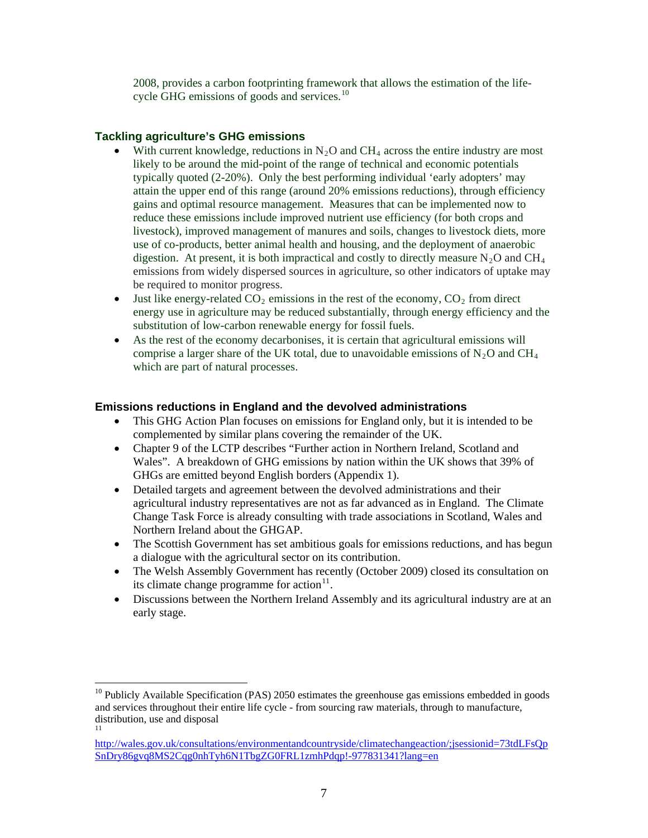2008, provides a carbon footprinting framework that allows the estimation of the lifecycle GHG emissions of goods and services.<sup>10</sup>

#### **Tackling agriculture's GHG emissions**

 $\overline{a}$ 

- With current knowledge, reductions in  $N<sub>2</sub>O$  and CH<sub>4</sub> across the entire industry are most likely to be around the mid-point of the range of technical and economic potentials typically quoted (2-20%). Only the best performing individual 'early adopters' may attain the upper end of this range (around 20% emissions reductions), through efficiency gains and optimal resource management. Measures that can be implemented now to reduce these emissions include improved nutrient use efficiency (for both crops and livestock), improved management of manures and soils, changes to livestock diets, more use of co-products, better animal health and housing, and the deployment of anaerobic digestion. At present, it is both impractical and costly to directly measure  $N_2O$  and  $CH_4$ emissions from widely dispersed sources in agriculture, so other indicators of uptake may be required to monitor progress.
- $\bullet$  Just like energy-related CO<sub>2</sub> emissions in the rest of the economy, CO<sub>2</sub> from direct energy use in agriculture may be reduced substantially, through energy efficiency and the substitution of low-carbon renewable energy for fossil fuels.
- As the rest of the economy decarbonises, it is certain that agricultural emissions will comprise a larger share of the UK total, due to unavoidable emissions of  $N_2O$  and CH<sub>4</sub> which are part of natural processes.

#### **Emissions reductions in England and the devolved administrations**

- This GHG Action Plan focuses on emissions for England only, but it is intended to be complemented by similar plans covering the remainder of the UK.
- Chapter 9 of the LCTP describes "Further action in Northern Ireland, Scotland and Wales". A breakdown of GHG emissions by nation within the UK shows that 39% of GHGs are emitted beyond English borders (Appendix 1).
- Detailed targets and agreement between the devolved administrations and their agricultural industry representatives are not as far advanced as in England. The Climate Change Task Force is already consulting with trade associations in Scotland, Wales and Northern Ireland about the GHGAP.
- The Scottish Government has set ambitious goals for emissions reductions, and has begun a dialogue with the agricultural sector on its contribution.
- The Welsh Assembly Government has recently (October 2009) closed its consultation on its climate change programme for action $11$ .
- Discussions between the Northern Ireland Assembly and its agricultural industry are at an early stage.

<sup>&</sup>lt;sup>10</sup> Publicly Available Specification (PAS) 2050 estimates the greenhouse gas emissions embedded in goods and services throughout their entire life cycle - from sourcing raw materials, through to manufacture, distribution, use and disposal 11

<span id="page-6-0"></span>[http://wales.gov.uk/consultations/environmentandcountryside/climatechangeaction/;jsessionid=73tdLFsQp](http://wales.gov.uk/consultations/environmentandcountryside/climatechangeaction/;jsessionid=73tdLFsQpSnDry86gvq8MS2Cqg0nhTyh6N1TbgZG0FRL1zmhPdqp!-977831341?lang=en) [SnDry86gvq8MS2Cqg0nhTyh6N1TbgZG0FRL1zmhPdqp!-977831341?lang=en](http://wales.gov.uk/consultations/environmentandcountryside/climatechangeaction/;jsessionid=73tdLFsQpSnDry86gvq8MS2Cqg0nhTyh6N1TbgZG0FRL1zmhPdqp!-977831341?lang=en)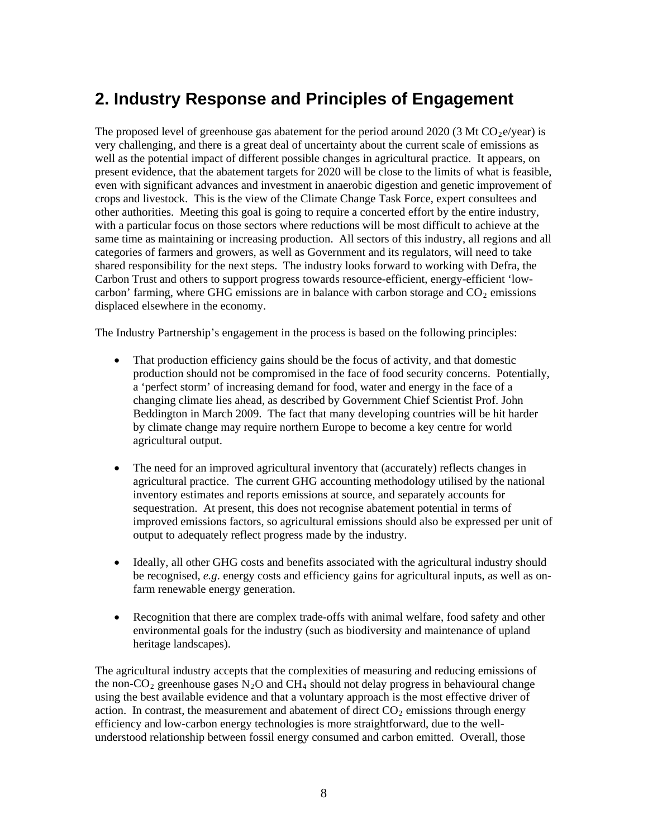# <span id="page-7-0"></span>**2. Industry Response and Principles of Engagement**

The proposed level of greenhouse gas abatement for the period around 2020 (3 Mt  $CO<sub>2</sub>e/year$ ) is very challenging, and there is a great deal of uncertainty about the current scale of emissions as well as the potential impact of different possible changes in agricultural practice. It appears, on present evidence, that the abatement targets for 2020 will be close to the limits of what is feasible, even with significant advances and investment in anaerobic digestion and genetic improvement of crops and livestock. This is the view of the Climate Change Task Force, expert consultees and other authorities. Meeting this goal is going to require a concerted effort by the entire industry, with a particular focus on those sectors where reductions will be most difficult to achieve at the same time as maintaining or increasing production. All sectors of this industry, all regions and all categories of farmers and growers, as well as Government and its regulators, will need to take shared responsibility for the next steps. The industry looks forward to working with Defra, the Carbon Trust and others to support progress towards resource-efficient, energy-efficient 'lowcarbon' farming, where GHG emissions are in balance with carbon storage and  $CO<sub>2</sub>$  emissions displaced elsewhere in the economy.

The Industry Partnership's engagement in the process is based on the following principles:

- That production efficiency gains should be the focus of activity, and that domestic production should not be compromised in the face of food security concerns. Potentially, a 'perfect storm' of increasing demand for food, water and energy in the face of a changing climate lies ahead, as described by Government Chief Scientist Prof. John Beddington in March 2009. The fact that many developing countries will be hit harder by climate change may require northern Europe to become a key centre for world agricultural output.
- The need for an improved agricultural inventory that (accurately) reflects changes in agricultural practice. The current GHG accounting methodology utilised by the national inventory estimates and reports emissions at source, and separately accounts for sequestration. At present, this does not recognise abatement potential in terms of improved emissions factors, so agricultural emissions should also be expressed per unit of output to adequately reflect progress made by the industry.
- Ideally, all other GHG costs and benefits associated with the agricultural industry should be recognised, *e.g*. energy costs and efficiency gains for agricultural inputs, as well as onfarm renewable energy generation.
- Recognition that there are complex trade-offs with animal welfare, food safety and other environmental goals for the industry (such as biodiversity and maintenance of upland heritage landscapes).

The agricultural industry accepts that the complexities of measuring and reducing emissions of the non-CO<sub>2</sub> greenhouse gases N<sub>2</sub>O and CH<sub>4</sub> should not delay progress in behavioural change using the best available evidence and that a voluntary approach is the most effective driver of action. In contrast, the measurement and abatement of direct  $CO<sub>2</sub>$  emissions through energy efficiency and low-carbon energy technologies is more straightforward, due to the wellunderstood relationship between fossil energy consumed and carbon emitted. Overall, those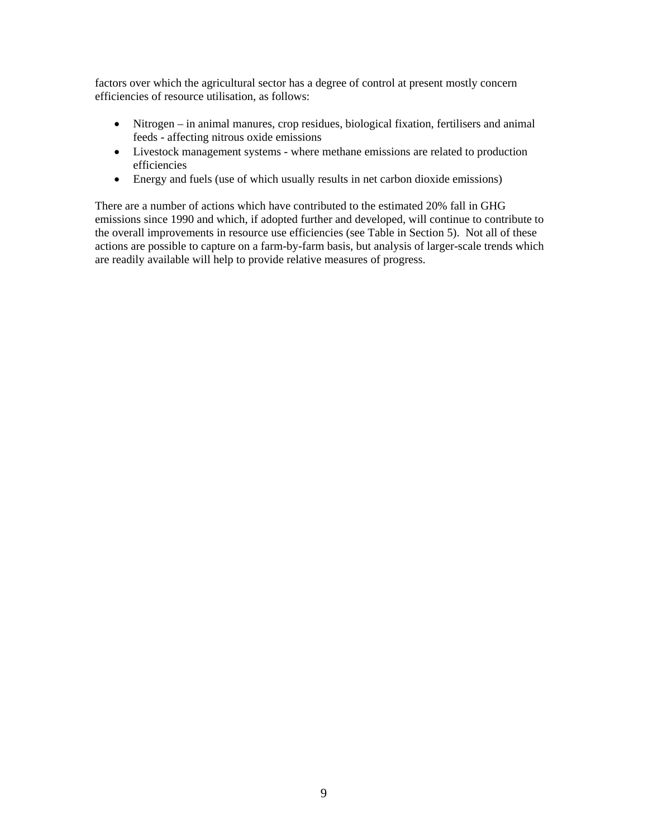factors over which the agricultural sector has a degree of control at present mostly concern efficiencies of resource utilisation, as follows:

- Nitrogen in animal manures, crop residues, biological fixation, fertilisers and animal feeds - affecting nitrous oxide emissions
- Livestock management systems where methane emissions are related to production efficiencies
- Energy and fuels (use of which usually results in net carbon dioxide emissions)

There are a number of actions which have contributed to the estimated 20% fall in GHG emissions since 1990 and which, if adopted further and developed, will continue to contribute to the overall improvements in resource use efficiencies (see Table in Section 5). Not all of these actions are possible to capture on a farm-by-farm basis, but analysis of larger-scale trends which are readily available will help to provide relative measures of progress.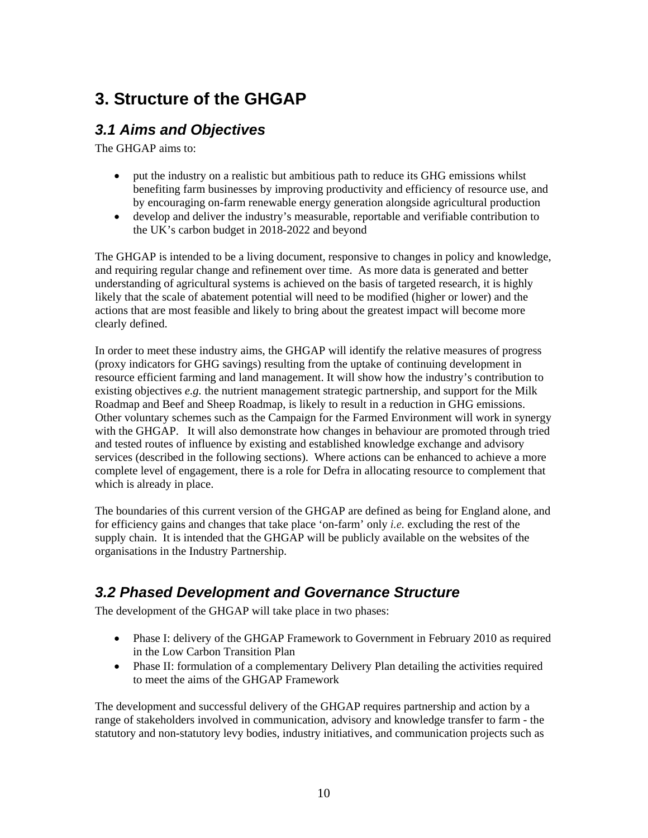# <span id="page-9-0"></span>**3. Structure of the GHGAP**

# <span id="page-9-1"></span>*3.1 Aims and Objectives*

The GHGAP aims to:

- put the industry on a realistic but ambitious path to reduce its GHG emissions whilst benefiting farm businesses by improving productivity and efficiency of resource use, and by encouraging on-farm renewable energy generation alongside agricultural production
- develop and deliver the industry's measurable, reportable and verifiable contribution to the UK's carbon budget in 2018-2022 and beyond

The GHGAP is intended to be a living document, responsive to changes in policy and knowledge, and requiring regular change and refinement over time. As more data is generated and better understanding of agricultural systems is achieved on the basis of targeted research, it is highly likely that the scale of abatement potential will need to be modified (higher or lower) and the actions that are most feasible and likely to bring about the greatest impact will become more clearly defined.

In order to meet these industry aims, the GHGAP will identify the relative measures of progress (proxy indicators for GHG savings) resulting from the uptake of continuing development in resource efficient farming and land management. It will show how the industry's contribution to existing objectives *e.g.* the nutrient management strategic partnership, and support for the Milk Roadmap and Beef and Sheep Roadmap, is likely to result in a reduction in GHG emissions. Other voluntary schemes such as the Campaign for the Farmed Environment will work in synergy with the GHGAP. It will also demonstrate how changes in behaviour are promoted through tried and tested routes of influence by existing and established knowledge exchange and advisory services (described in the following sections). Where actions can be enhanced to achieve a more complete level of engagement, there is a role for Defra in allocating resource to complement that which is already in place.

The boundaries of this current version of the GHGAP are defined as being for England alone, and for efficiency gains and changes that take place 'on-farm' only *i.e.* excluding the rest of the supply chain. It is intended that the GHGAP will be publicly available on the websites of the organisations in the Industry Partnership.

## <span id="page-9-2"></span>*3.2 Phased Development and Governance Structure*

The development of the GHGAP will take place in two phases:

- Phase I: delivery of the GHGAP Framework to Government in February 2010 as required in the Low Carbon Transition Plan
- Phase II: formulation of a complementary Delivery Plan detailing the activities required to meet the aims of the GHGAP Framework

The development and successful delivery of the GHGAP requires partnership and action by a range of stakeholders involved in communication, advisory and knowledge transfer to farm - the statutory and non-statutory levy bodies, industry initiatives, and communication projects such as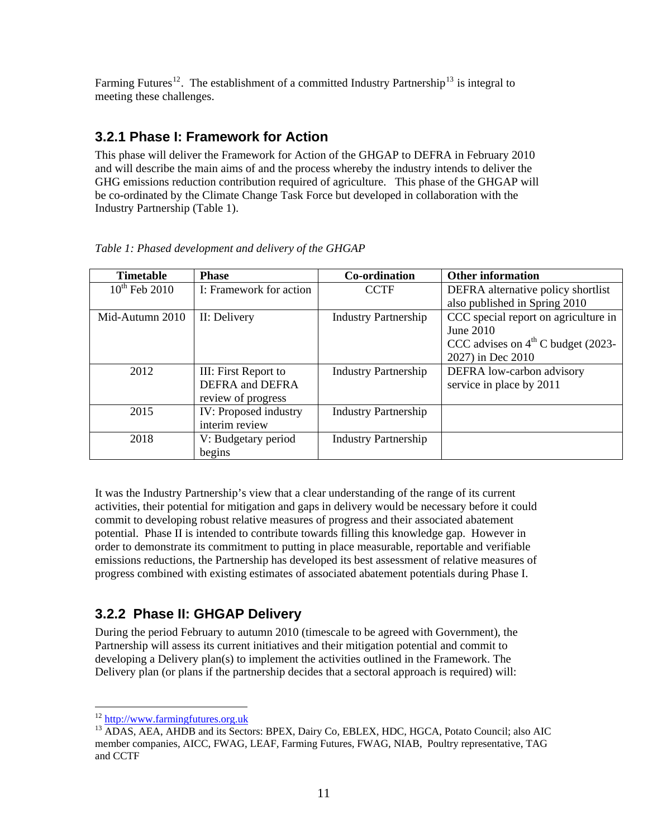Farming Futures<sup>[12](#page-10-2)</sup>. The establishment of a committed Industry Partnership<sup>[13](#page-10-3)</sup> is integral to meeting these challenges.

#### <span id="page-10-0"></span>**3.2.1 Phase I: Framework for Action**

This phase will deliver the Framework for Action of the GHGAP to DEFRA in February 2010 and will describe the main aims of and the process whereby the industry intends to deliver the GHG emissions reduction contribution required of agriculture. This phase of the GHGAP will be co-ordinated by the Climate Change Task Force but developed in collaboration with the Industry Partnership (Table 1).

| <b>Timetable</b>   | <b>Phase</b>                  | Co-ordination               | <b>Other information</b>             |
|--------------------|-------------------------------|-----------------------------|--------------------------------------|
| $10^{th}$ Feb 2010 | I: Framework for action       | <b>CCTF</b>                 | DEFRA alternative policy shortlist   |
|                    |                               |                             | also published in Spring 2010        |
| Mid-Autumn 2010    | II: Delivery                  | <b>Industry Partnership</b> | CCC special report on agriculture in |
|                    |                               |                             | June $2010$                          |
|                    |                               |                             | CCC advises on $4th$ C budget (2023- |
|                    |                               |                             | 2027) in Dec 2010                    |
| 2012               | III: First Report to          | <b>Industry Partnership</b> | DEFRA low-carbon advisory            |
|                    | <b>DEFRA</b> and <b>DEFRA</b> |                             | service in place by 2011             |
|                    | review of progress            |                             |                                      |
| 2015               | IV: Proposed industry         | <b>Industry Partnership</b> |                                      |
|                    | interim review                |                             |                                      |
| 2018               | V: Budgetary period           | <b>Industry Partnership</b> |                                      |
|                    | begins                        |                             |                                      |

*Table 1: Phased development and delivery of the GHGAP* 

It was the Industry Partnership's view that a clear understanding of the range of its current activities, their potential for mitigation and gaps in delivery would be necessary before it could commit to developing robust relative measures of progress and their associated abatement potential. Phase II is intended to contribute towards filling this knowledge gap. However in order to demonstrate its commitment to putting in place measurable, reportable and verifiable emissions reductions, the Partnership has developed its best assessment of relative measures of progress combined with existing estimates of associated abatement potentials during Phase I.

## <span id="page-10-1"></span>**3.2.2 Phase II: GHGAP Delivery**

During the period February to autumn 2010 (timescale to be agreed with Government), the Partnership will assess its current initiatives and their mitigation potential and commit to developing a Delivery plan(s) to implement the activities outlined in the Framework. The Delivery plan (or plans if the partnership decides that a sectoral approach is required) will:

 $12$  http://www.farmingfutures.org.uk

<span id="page-10-3"></span><span id="page-10-2"></span><sup>&</sup>lt;sup>13</sup> ADAS, AEA, AHDB and its Sectors: BPEX, Dairy Co, EBLEX, HDC, HGCA, Potato Council; also AIC member companies, AICC, FWAG, LEAF, Farming Futures, FWAG, NIAB, Poultry representative, TAG and CCTF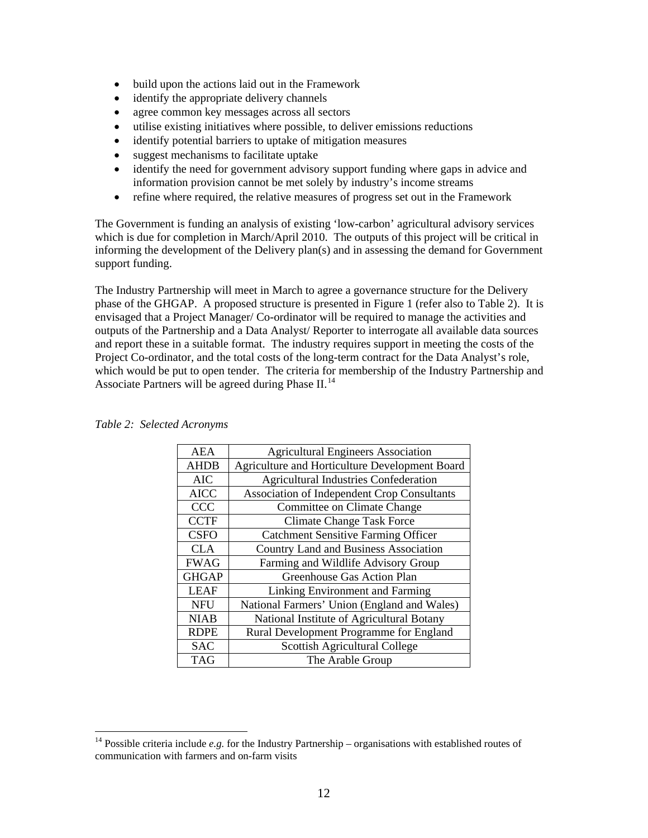- build upon the actions laid out in the Framework
- identify the appropriate delivery channels
- agree common key messages across all sectors
- utilise existing initiatives where possible, to deliver emissions reductions
- identify potential barriers to uptake of mitigation measures
- suggest mechanisms to facilitate uptake
- identify the need for government advisory support funding where gaps in advice and information provision cannot be met solely by industry's income streams
- refine where required, the relative measures of progress set out in the Framework

The Government is funding an analysis of existing 'low-carbon' agricultural advisory services which is due for completion in March/April 2010. The outputs of this project will be critical in informing the development of the Delivery plan(s) and in assessing the demand for Government support funding.

The Industry Partnership will meet in March to agree a governance structure for the Delivery phase of the GHGAP. A proposed structure is presented in Figure 1 (refer also to Table 2). It is envisaged that a Project Manager/ Co-ordinator will be required to manage the activities and outputs of the Partnership and a Data Analyst/ Reporter to interrogate all available data sources and report these in a suitable format. The industry requires support in meeting the costs of the Project Co-ordinator, and the total costs of the long-term contract for the Data Analyst's role, which would be put to open tender. The criteria for membership of the Industry Partnership and Associate Partners will be agreed during Phase  $II$ .<sup>[14](#page-11-0)</sup>

| <b>AEA</b>   | <b>Agricultural Engineers Association</b>      |
|--------------|------------------------------------------------|
| <b>AHDB</b>  | Agriculture and Horticulture Development Board |
| <b>AIC</b>   | <b>Agricultural Industries Confederation</b>   |
| <b>AICC</b>  | Association of Independent Crop Consultants    |
| <b>CCC</b>   | Committee on Climate Change                    |
| <b>CCTF</b>  | <b>Climate Change Task Force</b>               |
| <b>CSFO</b>  | <b>Catchment Sensitive Farming Officer</b>     |
| <b>CLA</b>   | <b>Country Land and Business Association</b>   |
| <b>FWAG</b>  | Farming and Wildlife Advisory Group            |
| <b>GHGAP</b> | Greenhouse Gas Action Plan                     |
| <b>LEAF</b>  | Linking Environment and Farming                |
| <b>NFU</b>   | National Farmers' Union (England and Wales)    |
| <b>NIAB</b>  | National Institute of Agricultural Botany      |
| <b>RDPE</b>  | Rural Development Programme for England        |
| <b>SAC</b>   | Scottish Agricultural College                  |
| <b>TAG</b>   | The Arable Group                               |

#### *Table 2: Selected Acronyms*

<span id="page-11-0"></span><sup>&</sup>lt;sup>14</sup> Possible criteria include  $e.g.$  for the Industry Partnership – organisations with established routes of communication with farmers and on-farm visits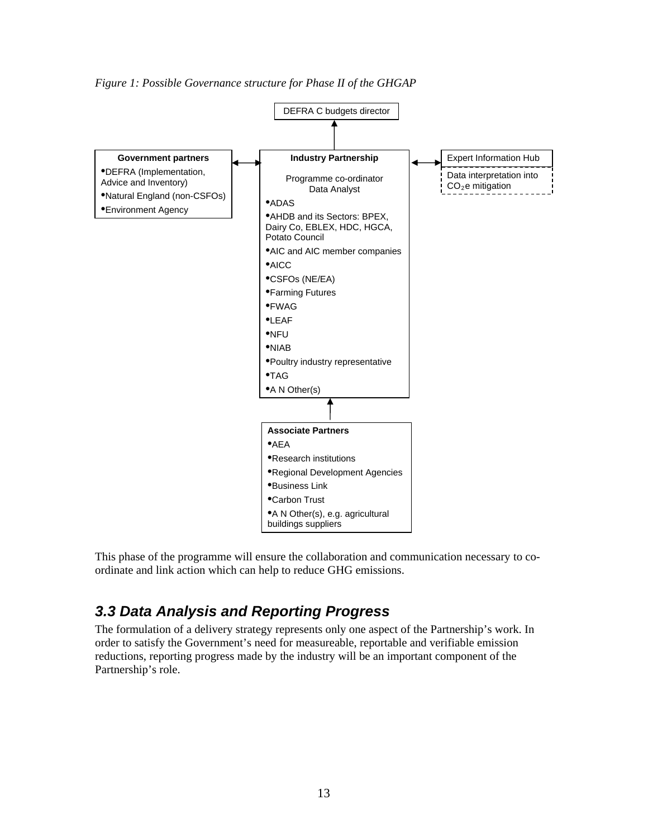*Figure 1: Possible Governance structure for Phase II of the GHGAP* 



This phase of the programme will ensure the collaboration and communication necessary to coordinate and link action which can help to reduce GHG emissions.

### <span id="page-12-0"></span>*3.3 Data Analysis and Reporting Progress*

The formulation of a delivery strategy represents only one aspect of the Partnership's work. In order to satisfy the Government's need for measureable, reportable and verifiable emission reductions, reporting progress made by the industry will be an important component of the Partnership's role.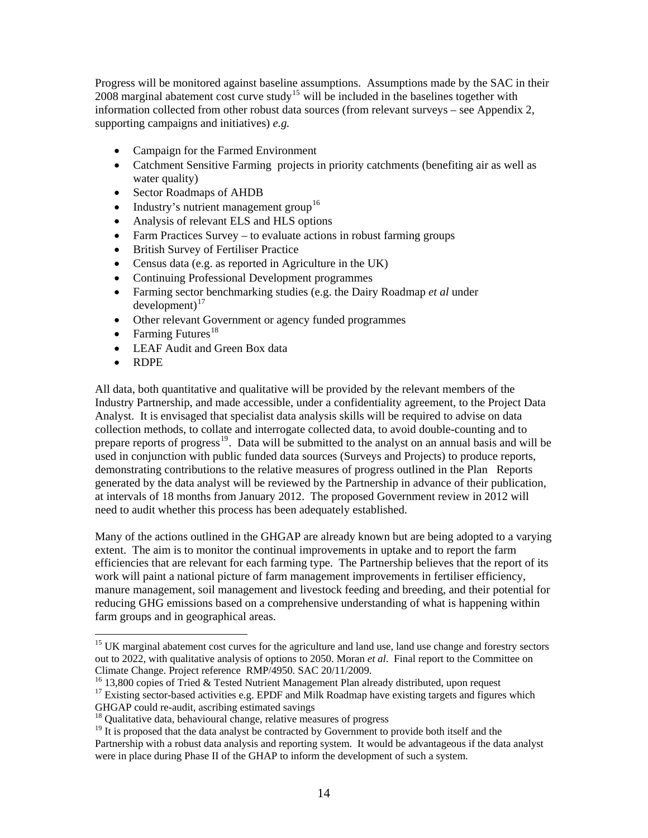Progress will be monitored against baseline assumptions. Assumptions made by the SAC in their  $2008$  marginal abatement cost curve study<sup>[15](#page-13-0)</sup> will be included in the baselines together with information collected from other robust data sources (from relevant surveys – see Appendix 2, supporting campaigns and initiatives) *e.g.*

- Campaign for the Farmed Environment
- Catchment Sensitive Farming projects in priority catchments (benefiting air as well as water quality)
- Sector Roadmaps of AHDB
- Industry's nutrient management group<sup>[16](#page-13-1)</sup>
- Analysis of relevant ELS and HLS options
- Farm Practices Survey to evaluate actions in robust farming groups
- British Survey of Fertiliser Practice
- Census data (e.g. as reported in Agriculture in the UK)
- Continuing Professional Development programmes
- Farming sector benchmarking studies (e.g. the Dairy Roadmap *et al* under  $d$ evelopment $)^{17}$  $)^{17}$  $)^{17}$
- Other relevant Government or agency funded programmes
- Farming Futures<sup>[18](#page-13-3)</sup>
- LEAF Audit and Green Box data
- RDPE

 $\overline{a}$ 

All data, both quantitative and qualitative will be provided by the relevant members of the Industry Partnership, and made accessible, under a confidentiality agreement, to the Project Data Analyst. It is envisaged that specialist data analysis skills will be required to advise on data collection methods, to collate and interrogate collected data, to avoid double-counting and to prepare reports of progress<sup>[19](#page-13-4)</sup>. Data will be submitted to the analyst on an annual basis and will be used in conjunction with public funded data sources (Surveys and Projects) to produce reports, demonstrating contributions to the relative measures of progress outlined in the Plan Reports generated by the data analyst will be reviewed by the Partnership in advance of their publication, at intervals of 18 months from January 2012. The proposed Government review in 2012 will need to audit whether this process has been adequately established.

Many of the actions outlined in the GHGAP are already known but are being adopted to a varying extent. The aim is to monitor the continual improvements in uptake and to report the farm efficiencies that are relevant for each farming type. The Partnership believes that the report of its work will paint a national picture of farm management improvements in fertiliser efficiency, manure management, soil management and livestock feeding and breeding, and their potential for reducing GHG emissions based on a comprehensive understanding of what is happening within farm groups and in geographical areas.

<span id="page-13-0"></span><sup>&</sup>lt;sup>15</sup> UK marginal abatement cost curves for the agriculture and land use, land use change and forestry sectors out to 2022, with qualitative analysis of options to 2050. Moran *et al*. Final report to the Committee on Climate Change. Project reference RMP/4950. SAC 20/11/2009.

<span id="page-13-1"></span><sup>&</sup>lt;sup>16</sup> 13,800 copies of Tried & Tested Nutrient Management Plan already distributed, upon request

<span id="page-13-2"></span><sup>&</sup>lt;sup>17</sup> Existing sector-based activities e.g. EPDF and Milk Roadmap have existing targets and figures which GHGAP could re-audit, ascribing estimated savings

<span id="page-13-3"></span><sup>&</sup>lt;sup>18</sup> Qualitative data, behavioural change, relative measures of progress

<span id="page-13-4"></span><sup>&</sup>lt;sup>19</sup> It is proposed that the data analyst be contracted by Government to provide both itself and the Partnership with a robust data analysis and reporting system. It would be advantageous if the data analyst were in place during Phase II of the GHAP to inform the development of such a system.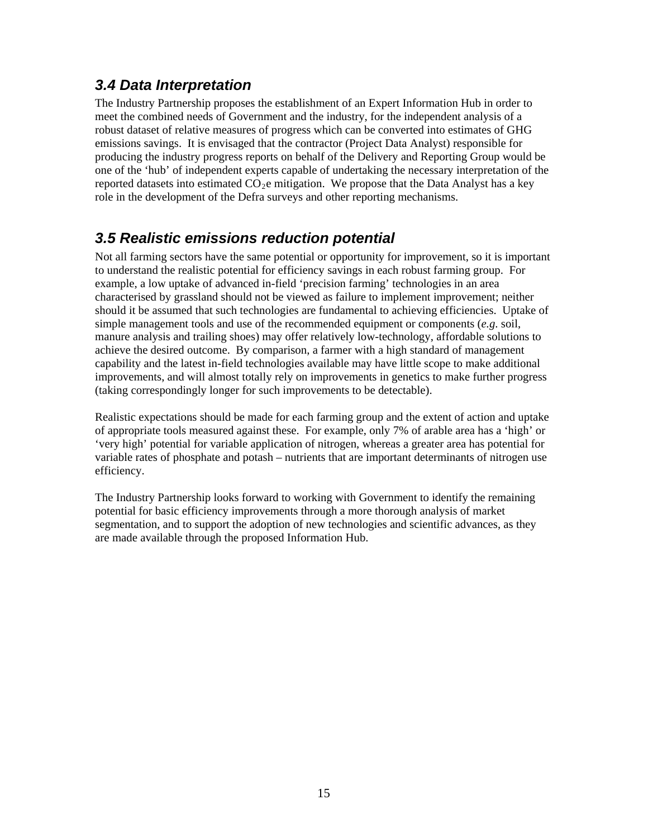## <span id="page-14-0"></span>*3.4 Data Interpretation*

The Industry Partnership proposes the establishment of an Expert Information Hub in order to meet the combined needs of Government and the industry, for the independent analysis of a robust dataset of relative measures of progress which can be converted into estimates of GHG emissions savings. It is envisaged that the contractor (Project Data Analyst) responsible for producing the industry progress reports on behalf of the Delivery and Reporting Group would be one of the 'hub' of independent experts capable of undertaking the necessary interpretation of the reported datasets into estimated  $CO<sub>2</sub>e$  mitigation. We propose that the Data Analyst has a key role in the development of the Defra surveys and other reporting mechanisms.

## <span id="page-14-1"></span>*3.5 Realistic emissions reduction potential*

Not all farming sectors have the same potential or opportunity for improvement, so it is important to understand the realistic potential for efficiency savings in each robust farming group. For example, a low uptake of advanced in-field 'precision farming' technologies in an area characterised by grassland should not be viewed as failure to implement improvement; neither should it be assumed that such technologies are fundamental to achieving efficiencies. Uptake of simple management tools and use of the recommended equipment or components (*e.g*. soil, manure analysis and trailing shoes) may offer relatively low-technology, affordable solutions to achieve the desired outcome. By comparison, a farmer with a high standard of management capability and the latest in-field technologies available may have little scope to make additional improvements, and will almost totally rely on improvements in genetics to make further progress (taking correspondingly longer for such improvements to be detectable).

Realistic expectations should be made for each farming group and the extent of action and uptake of appropriate tools measured against these. For example, only 7% of arable area has a 'high' or 'very high' potential for variable application of nitrogen, whereas a greater area has potential for variable rates of phosphate and potash – nutrients that are important determinants of nitrogen use efficiency.

The Industry Partnership looks forward to working with Government to identify the remaining potential for basic efficiency improvements through a more thorough analysis of market segmentation, and to support the adoption of new technologies and scientific advances, as they are made available through the proposed Information Hub.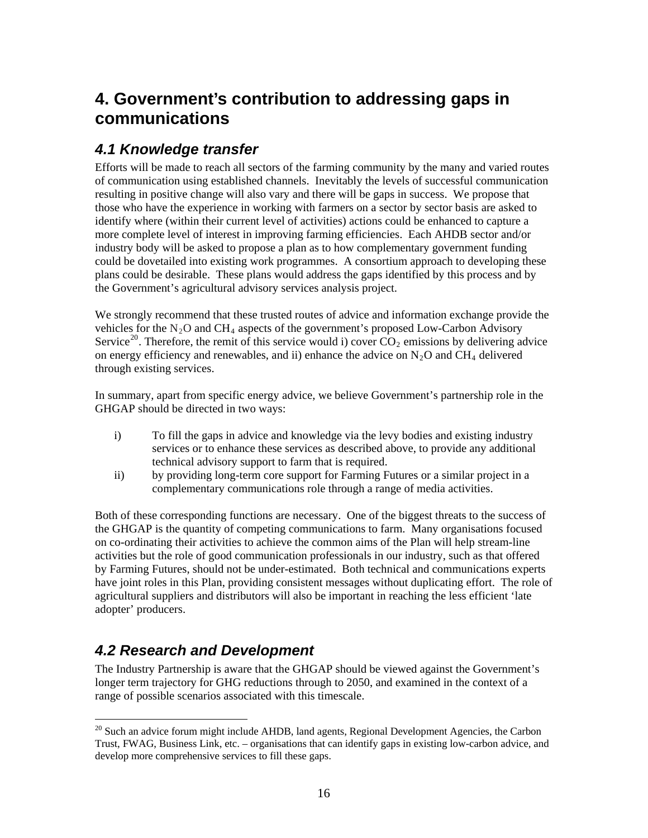# <span id="page-15-0"></span>**4. Government's contribution to addressing gaps in communications**

## <span id="page-15-1"></span>*4.1 Knowledge transfer*

Efforts will be made to reach all sectors of the farming community by the many and varied routes of communication using established channels. Inevitably the levels of successful communication resulting in positive change will also vary and there will be gaps in success. We propose that those who have the experience in working with farmers on a sector by sector basis are asked to identify where (within their current level of activities) actions could be enhanced to capture a more complete level of interest in improving farming efficiencies. Each AHDB sector and/or industry body will be asked to propose a plan as to how complementary government funding could be dovetailed into existing work programmes. A consortium approach to developing these plans could be desirable. These plans would address the gaps identified by this process and by the Government's agricultural advisory services analysis project.

We strongly recommend that these trusted routes of advice and information exchange provide the vehicles for the  $N_2O$  and CH<sub>4</sub> aspects of the government's proposed Low-Carbon Advisory Service<sup>[20](#page-15-3)</sup>. Therefore, the remit of this service would i) cover  $CO_2$  emissions by delivering advice on energy efficiency and renewables, and ii) enhance the advice on  $N_2O$  and CH<sub>4</sub> delivered through existing services.

In summary, apart from specific energy advice, we believe Government's partnership role in the GHGAP should be directed in two ways:

- i) To fill the gaps in advice and knowledge via the levy bodies and existing industry services or to enhance these services as described above, to provide any additional technical advisory support to farm that is required.
- ii) by providing long-term core support for Farming Futures or a similar project in a complementary communications role through a range of media activities.

Both of these corresponding functions are necessary. One of the biggest threats to the success of the GHGAP is the quantity of competing communications to farm. Many organisations focused on co-ordinating their activities to achieve the common aims of the Plan will help stream-line activities but the role of good communication professionals in our industry, such as that offered by Farming Futures, should not be under-estimated. Both technical and communications experts have joint roles in this Plan, providing consistent messages without duplicating effort. The role of agricultural suppliers and distributors will also be important in reaching the less efficient 'late adopter' producers.

# <span id="page-15-2"></span>*4.2 Research and Development*

The Industry Partnership is aware that the GHGAP should be viewed against the Government's longer term trajectory for GHG reductions through to 2050, and examined in the context of a range of possible scenarios associated with this timescale.

<span id="page-15-3"></span> $\overline{a}$  $20$  Such an advice forum might include AHDB, land agents, Regional Development Agencies, the Carbon Trust, FWAG, Business Link, etc. – organisations that can identify gaps in existing low-carbon advice, and develop more comprehensive services to fill these gaps.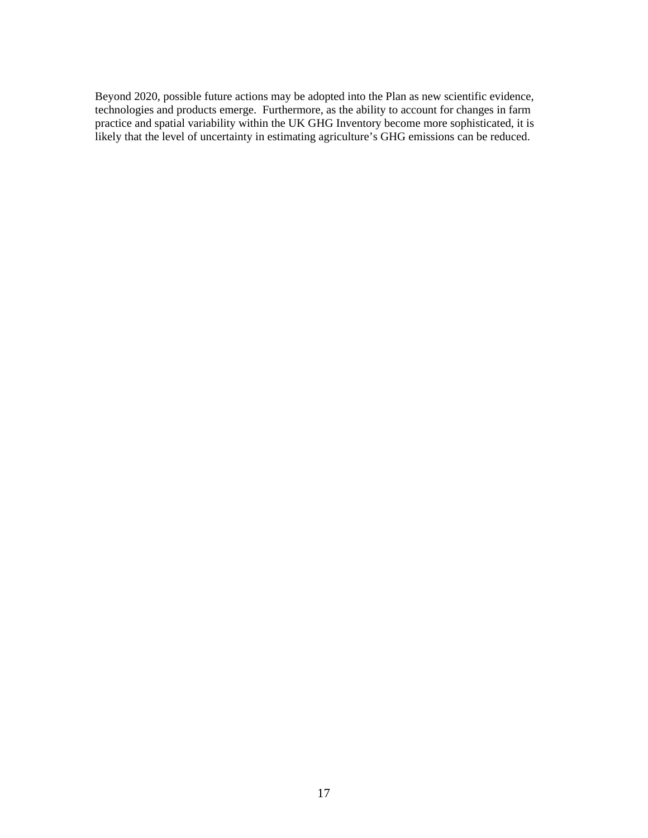Beyond 2020, possible future actions may be adopted into the Plan as new scientific evidence, technologies and products emerge. Furthermore, as the ability to account for changes in farm practice and spatial variability within the UK GHG Inventory become more sophisticated, it is likely that the level of uncertainty in estimating agriculture's GHG emissions can be reduced.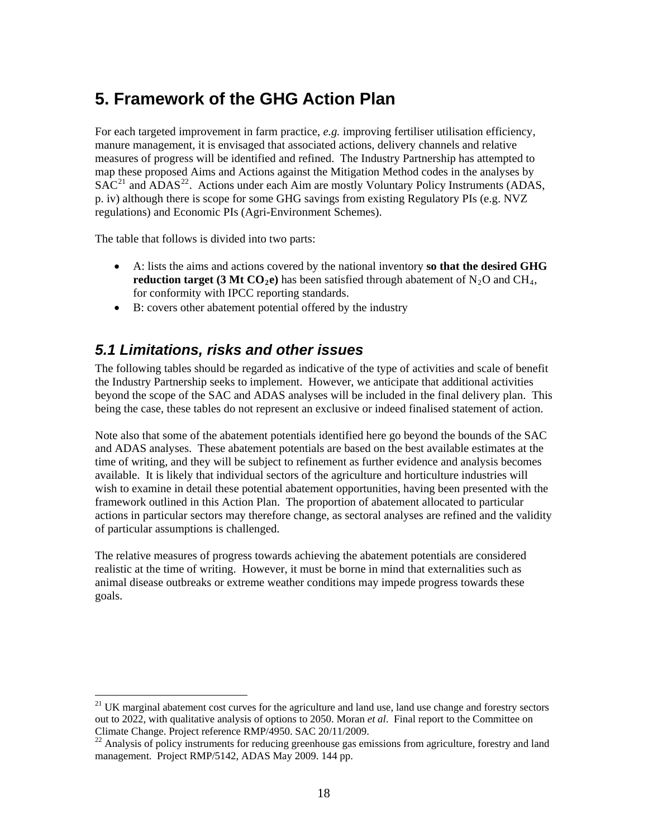# <span id="page-17-0"></span>**5. Framework of the GHG Action Plan**

For each targeted improvement in farm practice, *e.g.* improving fertiliser utilisation efficiency, manure management, it is envisaged that associated actions, delivery channels and relative measures of progress will be identified and refined. The Industry Partnership has attempted to map these proposed Aims and Actions against the Mitigation Method codes in the analyses by  $SAC<sup>21</sup>$  $SAC<sup>21</sup>$  $SAC<sup>21</sup>$  and  $\widehat{ADAS}^{22}$  $\widehat{ADAS}^{22}$  $\widehat{ADAS}^{22}$ . Actions under each Aim are mostly Voluntary Policy Instruments (ADAS, p. iv) although there is scope for some GHG savings from existing Regulatory PIs (e.g. NVZ regulations) and Economic PIs (Agri-Environment Schemes).

The table that follows is divided into two parts:

 $\overline{a}$ 

- for conformity with IPCC reporting standards. A: lists the aims and actions covered by the national inventory **so that the desired GHG reduction target (3 Mt**  $CO<sub>2</sub>e$ **)** has been satisfied through abatement of N<sub>2</sub>O and CH<sub>4</sub>,
- B: covers other abatement potential offered by the industry

### <span id="page-17-1"></span>*5.1 Limitations, risks and other issues*

The following tables should be regarded as indicative of the type of activities and scale of benefit the Industry Partnership seeks to implement. However, we anticipate that additional activities beyond the scope of the SAC and ADAS analyses will be included in the final delivery plan. This being the case, these tables do not represent an exclusive or indeed finalised statement of action.

Note also that some of the abatement potentials identified here go beyond the bounds of the SAC and ADAS analyses. These abatement potentials are based on the best available estimates at the time of writing, and they will be subject to refinement as further evidence and analysis becomes available. It is likely that individual sectors of the agriculture and horticulture industries will wish to examine in detail these potential abatement opportunities, having been presented with the framework outlined in this Action Plan. The proportion of abatement allocated to particular actions in particular sectors may therefore change, as sectoral analyses are refined and the validity of particular assumptions is challenged.

The relative measures of progress towards achieving the abatement potentials are considered realistic at the time of writing. However, it must be borne in mind that externalities such as animal disease outbreaks or extreme weather conditions may impede progress towards these goals.

<span id="page-17-2"></span><sup>&</sup>lt;sup>21</sup> UK marginal abatement cost curves for the agriculture and land use, land use change and forestry sectors out to 2022, with qualitative analysis of options to 2050. Moran *et al*. Final report to the Committee on Climate Change. Project reference RMP/4950. SAC 20/11/2009.

<span id="page-17-3"></span><sup>&</sup>lt;sup>22</sup> Analysis of policy instruments for reducing greenhouse gas emissions from agriculture, forestry and land management. Project RMP/5142, ADAS May 2009. 144 pp.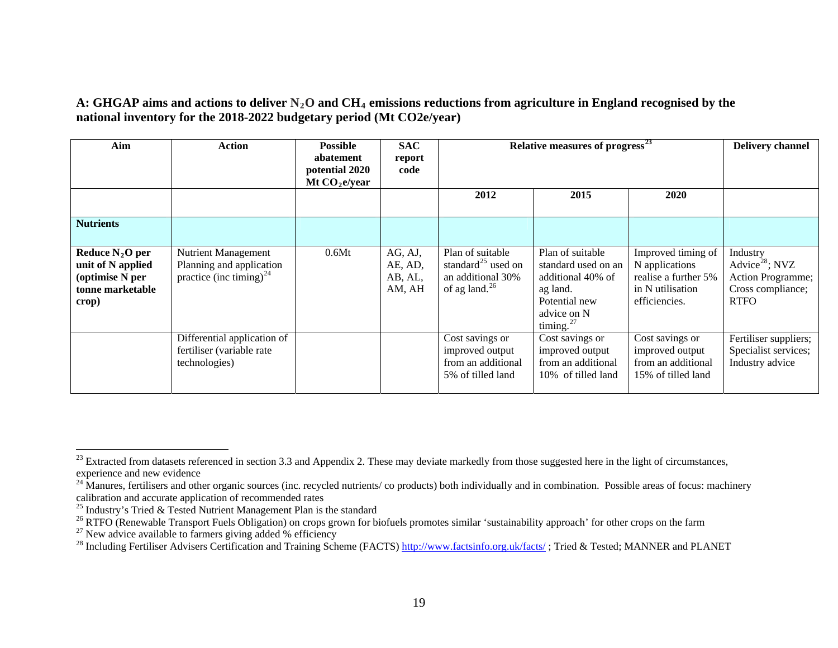#### A: GHGAP aims and actions to deliver N<sub>2</sub>O and CH<sub>4</sub> emissions reductions from agriculture in England recognised by the **national inventory for the 2018-2022 budgetary period (Mt CO2e/year)**

| Aim                                                                                    | <b>Action</b>                                                                                 | <b>Possible</b><br>abatement<br>potential 2020<br>Mt $CO2e/year$ | <b>SAC</b><br>report<br>code            | Relative measures of progress <sup>23</sup>                                                    |                                                                                                                          |                                                                                                   | <b>Delivery channel</b>                                                                         |
|----------------------------------------------------------------------------------------|-----------------------------------------------------------------------------------------------|------------------------------------------------------------------|-----------------------------------------|------------------------------------------------------------------------------------------------|--------------------------------------------------------------------------------------------------------------------------|---------------------------------------------------------------------------------------------------|-------------------------------------------------------------------------------------------------|
|                                                                                        |                                                                                               |                                                                  |                                         | 2012                                                                                           | 2015                                                                                                                     | 2020                                                                                              |                                                                                                 |
| <b>Nutrients</b>                                                                       |                                                                                               |                                                                  |                                         |                                                                                                |                                                                                                                          |                                                                                                   |                                                                                                 |
| Reduce $N_2O$ per<br>unit of N applied<br>(optimise N per<br>tonne marketable<br>crop) | <b>Nutrient Management</b><br>Planning and application<br>practice (inc timing) <sup>24</sup> | 0.6Mt                                                            | AG, AJ,<br>AE, AD,<br>AB, AL,<br>AM, AH | Plan of suitable<br>standard <sup>25</sup> used on<br>an additional 30%<br>of ag land. $^{26}$ | Plan of suitable<br>standard used on an<br>additional 40% of<br>ag land.<br>Potential new<br>advice on N<br>timing. $27$ | Improved timing of<br>N applications<br>realise a further 5%<br>in N utilisation<br>efficiencies. | Industry<br>Advice <sup>28</sup> ; NVZ<br>Action Programme;<br>Cross compliance;<br><b>RTFO</b> |
|                                                                                        | Differential application of<br>fertiliser (variable rate<br>technologies)                     |                                                                  |                                         | Cost savings or<br>improved output<br>from an additional<br>5% of tilled land                  | Cost savings or<br>improved output<br>from an additional<br>10% of tilled land                                           | Cost savings or<br>improved output<br>from an additional<br>15% of tilled land                    | Fertiliser suppliers;<br>Specialist services;<br>Industry advice                                |

<span id="page-18-0"></span> $^{23}$  Extracted from datasets referenced in section 3.3 and Appendix 2. These may deviate markedly from those suggested here in the light of circumstances, experience and new evidence

<span id="page-18-1"></span> $^{24}$  Manures, fertilisers and other organic sources (inc. recycled nutrients/ co products) both individually and in combination. Possible areas of focus: machinery calibration and accurate application of recommended rates

<span id="page-18-2"></span><sup>&</sup>lt;sup>25</sup> Industry's Tried & Tested Nutrient Management Plan is the standard

<span id="page-18-3"></span><sup>&</sup>lt;sup>26</sup> RTFO (Renewable Transport Fuels Obligation) on crops grown for biofuels promotes similar 'sustainability approach' for other crops on the farm

<span id="page-18-4"></span><sup>&</sup>lt;sup>27</sup> New advice available to farmers giving added % efficiency

<span id="page-18-5"></span><sup>&</sup>lt;sup>28</sup> Including Fertiliser Advisers Certification and Training Scheme (FACTS) http://www.factsinfo.org.uk/facts/; Tried & Tested; MANNER and PLANET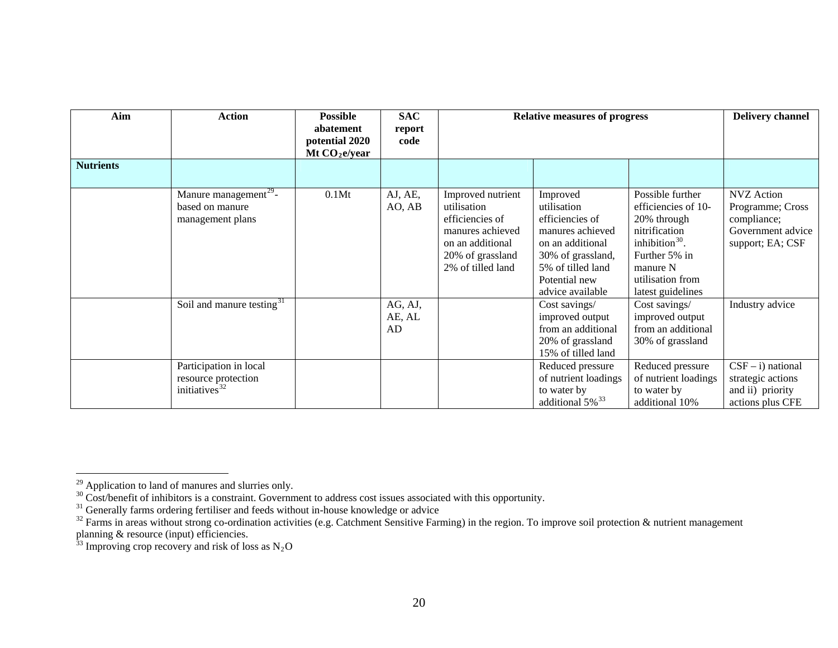| Aim              | <b>Action</b>                                                                                                       | <b>Possible</b><br>abatement<br>potential 2020<br>Mt $CO2e/year$ | <b>SAC</b><br>report<br>code | <b>Relative measures of progress</b>                                                                                                 | <b>Delivery channel</b>                                                                                                                                                                       |                                                                                                                                                                    |                                                                                                      |
|------------------|---------------------------------------------------------------------------------------------------------------------|------------------------------------------------------------------|------------------------------|--------------------------------------------------------------------------------------------------------------------------------------|-----------------------------------------------------------------------------------------------------------------------------------------------------------------------------------------------|--------------------------------------------------------------------------------------------------------------------------------------------------------------------|------------------------------------------------------------------------------------------------------|
| <b>Nutrients</b> |                                                                                                                     |                                                                  |                              |                                                                                                                                      |                                                                                                                                                                                               |                                                                                                                                                                    |                                                                                                      |
|                  | Manure management <sup>29</sup> -<br>based on manure<br>management plans                                            | 0.1Mt                                                            | AJ, AE,<br>AO, AB            | Improved nutrient<br>utilisation<br>efficiencies of<br>manures achieved<br>on an additional<br>20% of grassland<br>2% of tilled land | Improved<br>utilisation<br>efficiencies of<br>manures achieved<br>on an additional<br>30% of grassland,<br>5% of tilled land<br>Potential new<br>advice available                             | Possible further<br>efficiencies of 10-<br>20% through<br>nitrification<br>inhibition $30$ .<br>Further 5% in<br>manure N<br>utilisation from<br>latest guidelines | <b>NVZ</b> Action<br>Programme; Cross<br>compliance;<br>Government advice<br>support; EA; CSF        |
|                  | Soil and manure testing <sup>31</sup><br>Participation in local<br>resource protection<br>initiatives <sup>32</sup> |                                                                  | AG, AJ,<br>AE, AL<br>AD      |                                                                                                                                      | Cost savings/<br>improved output<br>from an additional<br>20% of grassland<br>15% of tilled land<br>Reduced pressure<br>of nutrient loadings<br>to water by<br>additional $5\%$ <sup>33</sup> | Cost savings/<br>improved output<br>from an additional<br>30% of grassland<br>Reduced pressure<br>of nutrient loadings<br>to water by<br>additional 10%            | Industry advice<br>$CSF - i$ ) national<br>strategic actions<br>and ii) priority<br>actions plus CFE |

<span id="page-19-0"></span><sup>&</sup>lt;sup>29</sup> Application to land of manures and slurries only.

<span id="page-19-1"></span> $30$  Cost/benefit of inhibitors is a constraint. Government to address cost issues associated with this opportunity.

<sup>&</sup>lt;sup>31</sup> Generally farms ordering fertiliser and feeds without in-house knowledge or advice

<span id="page-19-3"></span><span id="page-19-2"></span> $32$  Farms in areas without strong co-ordination activities (e.g. Catchment Sensitive Farming) in the region. To improve soil protection & nutrient management planning & resource (input) efficiencies.

<span id="page-19-4"></span><sup>&</sup>lt;sup>33</sup> Improving crop recovery and risk of loss as  $N_2O$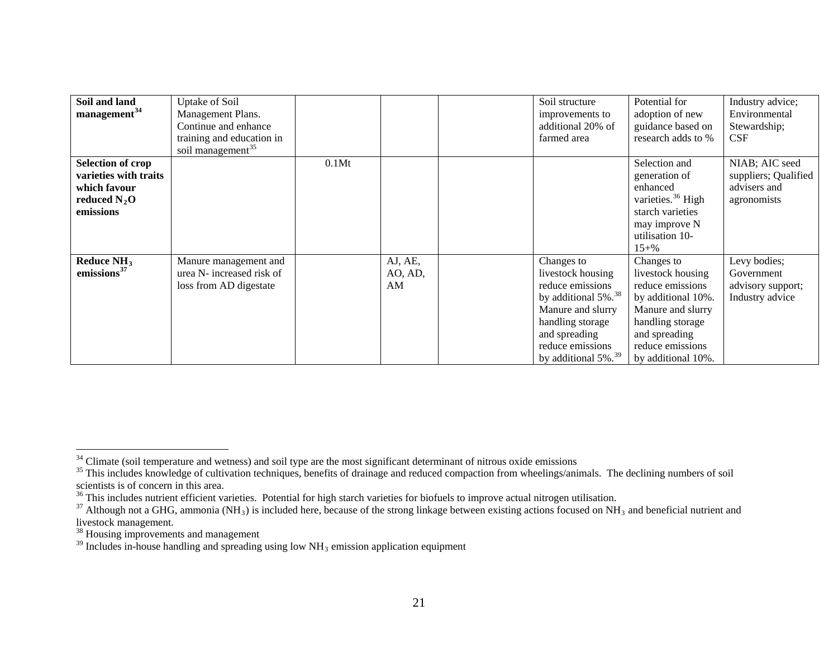| Soil and land<br>management <sup>34</sup>                                                        | Uptake of Soil<br>Management Plans.<br>Continue and enhance<br>training and education in<br>soil management <sup>35</sup> |       |                          | Soil structure<br>improvements to<br>additional 20% of<br>farmed area                                                                                                                                   | Potential for<br>adoption of new<br>guidance based on<br>research adds to %                                                                                                   | Industry advice;<br>Environmental<br>Stewardship;<br><b>CSF</b>       |
|--------------------------------------------------------------------------------------------------|---------------------------------------------------------------------------------------------------------------------------|-------|--------------------------|---------------------------------------------------------------------------------------------------------------------------------------------------------------------------------------------------------|-------------------------------------------------------------------------------------------------------------------------------------------------------------------------------|-----------------------------------------------------------------------|
| <b>Selection of crop</b><br>varieties with traits<br>which favour<br>reduced $N_2O$<br>emissions |                                                                                                                           | 0.1Mt |                          |                                                                                                                                                                                                         | Selection and<br>generation of<br>enhanced<br>varieties. <sup>36</sup> High<br>starch varieties<br>may improve N<br>utilisation 10-<br>$15 + \%$                              | NIAB; AIC seed<br>suppliers; Qualified<br>advisers and<br>agronomists |
| Reduce $NH3$<br>emissions $37$                                                                   | Manure management and<br>urea N- increased risk of<br>loss from AD digestate                                              |       | AJ, AE,<br>AO, AD,<br>AM | Changes to<br>livestock housing<br>reduce emissions<br>by additional 5%. <sup>38</sup><br>Manure and slurry<br>handling storage<br>and spreading<br>reduce emissions<br>by additional 5%. <sup>39</sup> | Changes to<br>livestock housing<br>reduce emissions<br>by additional 10%.<br>Manure and slurry<br>handling storage<br>and spreading<br>reduce emissions<br>by additional 10%. | Levy bodies;<br>Government<br>advisory support;<br>Industry advice    |

<span id="page-20-0"></span> $34$  Climate (soil temperature and wetness) and soil type are the most significant determinant of nitrous oxide emissions

<span id="page-20-1"></span><sup>&</sup>lt;sup>35</sup> This includes knowledge of cultivation techniques, benefits of drainage and reduced compaction from wheelings/animals. The declining numbers of soil scientists is of concern in this area.

<span id="page-20-2"></span><sup>&</sup>lt;sup>36</sup> This includes nutrient efficient varieties. Potential for high starch varieties for biofuels to improve actual nitrogen utilisation.

<span id="page-20-3"></span><sup>&</sup>lt;sup>37</sup> Although not a GHG, ammonia (NH<sub>3</sub>) is included here, because of the strong linkage between existing actions focused on NH<sub>3</sub> and beneficial nutrient and livestock management.

<span id="page-20-4"></span><sup>&</sup>lt;sup>38</sup> Housing improvements and management

<span id="page-20-5"></span> $39$  Includes in-house handling and spreading using low NH<sub>3</sub> emission application equipment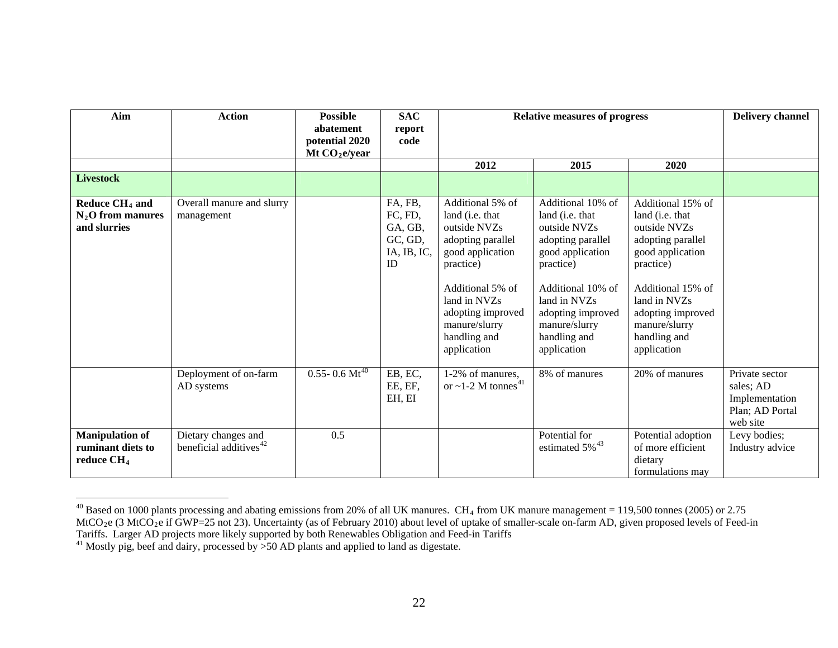| Aim                                                                   | <b>Action</b>                                             | <b>Possible</b><br>abatement<br>potential 2020<br>Mt $CO2e/year$ | <b>SAC</b><br>report<br>code                                  | <b>Relative measures of progress</b>                                                                                                                                                                               |                                                                                                                                                                                                                      |                                                                                                                                                                                                                              | <b>Delivery channel</b>                                                      |
|-----------------------------------------------------------------------|-----------------------------------------------------------|------------------------------------------------------------------|---------------------------------------------------------------|--------------------------------------------------------------------------------------------------------------------------------------------------------------------------------------------------------------------|----------------------------------------------------------------------------------------------------------------------------------------------------------------------------------------------------------------------|------------------------------------------------------------------------------------------------------------------------------------------------------------------------------------------------------------------------------|------------------------------------------------------------------------------|
|                                                                       |                                                           |                                                                  |                                                               | 2012                                                                                                                                                                                                               | 2015                                                                                                                                                                                                                 | 2020                                                                                                                                                                                                                         |                                                                              |
| <b>Livestock</b>                                                      |                                                           |                                                                  |                                                               |                                                                                                                                                                                                                    |                                                                                                                                                                                                                      |                                                                                                                                                                                                                              |                                                                              |
| Reduce CH <sub>4</sub> and<br>$N_2$ O from manures<br>and slurries    | Overall manure and slurry<br>management                   |                                                                  | FA, FB,<br>FC, FD,<br>GA, GB,<br>GC, GD,<br>IA, IB, IC,<br>ID | Additional 5% of<br>land (i.e. that<br>outside NVZs<br>adopting parallel<br>good application<br>practice)<br>Additional 5% of<br>land in NVZs<br>adopting improved<br>manure/slurry<br>handling and<br>application | Additional 10% of<br>land (i.e. that<br>outside NVZs<br>adopting parallel<br>good application<br>practice)<br>Additional 10% of<br>land in NVZs<br>adopting improved<br>manure/slurry<br>handling and<br>application | Additional 15% of<br>land ( <i>i.e.</i> that<br>outside NVZs<br>adopting parallel<br>good application<br>practice)<br>Additional 15% of<br>land in NVZs<br>adopting improved<br>manure/slurry<br>handling and<br>application |                                                                              |
|                                                                       | Deployment of on-farm<br>AD systems                       | $0.55 - 0.6 \text{ Mt}^{40}$                                     | EB, EC,<br>EE, EF,<br>EH, EI                                  | 1-2% of manures,<br>or ~1-2 M tonnes <sup>41</sup>                                                                                                                                                                 | 8% of manures                                                                                                                                                                                                        | 20% of manures                                                                                                                                                                                                               | Private sector<br>sales; AD<br>Implementation<br>Plan; AD Portal<br>web site |
| <b>Manipulation of</b><br>ruminant diets to<br>reduce CH <sub>4</sub> | Dietary changes and<br>beneficial additives <sup>42</sup> | 0.5                                                              |                                                               |                                                                                                                                                                                                                    | Potential for<br>estimated 5% <sup>43</sup>                                                                                                                                                                          | Potential adoption<br>of more efficient<br>dietary<br>formulations may                                                                                                                                                       | Levy bodies;<br>Industry advice                                              |

<span id="page-21-3"></span><span id="page-21-2"></span><span id="page-21-0"></span> $^{40}$  Based on 1000 plants processing and abating emissions from 20% of all UK manures. CH<sub>4</sub> from UK manure management = 119,500 tonnes (2005) or 2.75 MtCO<sub>2</sub>e (3 MtCO<sub>2</sub>e if GWP=25 not 23). Uncertainty (as of February 2010) about level of uptake of smaller-scale on-farm AD, given proposed levels of Feed-in Tariffs. Larger AD projects more likely supported by both Renewables Obligation and Feed-in Tariffs

<span id="page-21-1"></span><sup>&</sup>lt;sup>41</sup> Mostly pig, beef and dairy, processed by  $>50$  AD plants and applied to land as digestate.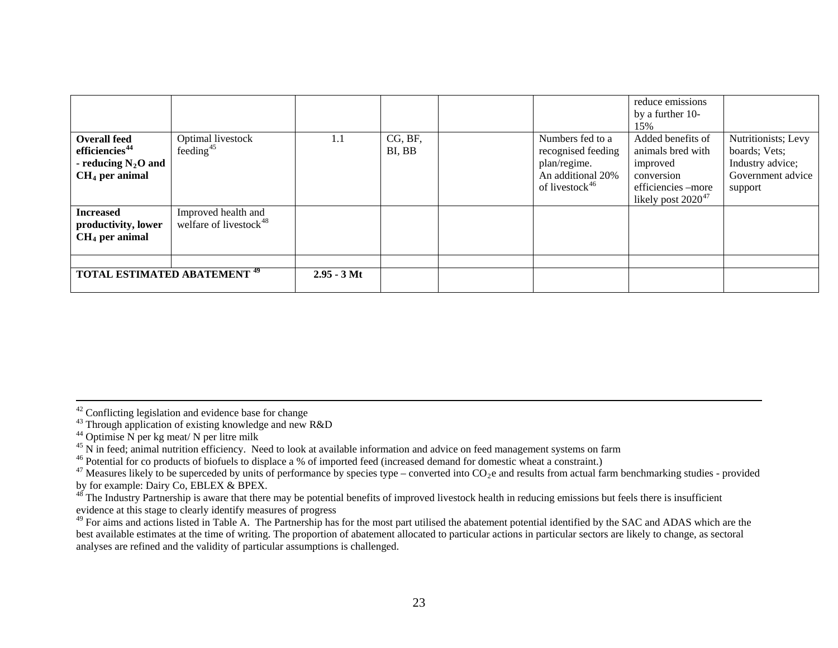| <b>TOTAL ESTIMATED ABATEMENT 49</b>                                                            |                                                           | $2.95 - 3$ Mt |                   |                                                                                                           |                                                                                                                         |                                                                                          |
|------------------------------------------------------------------------------------------------|-----------------------------------------------------------|---------------|-------------------|-----------------------------------------------------------------------------------------------------------|-------------------------------------------------------------------------------------------------------------------------|------------------------------------------------------------------------------------------|
| <b>Increased</b><br>productivity, lower<br>$CH4$ per animal                                    | Improved health and<br>welfare of livestock <sup>48</sup> |               |                   |                                                                                                           |                                                                                                                         |                                                                                          |
| <b>Overall feed</b><br>efficiencies <sup>44</sup><br>- reducing $N_2O$ and<br>$CH4$ per animal | Optimal livestock<br>feeding <sup>45</sup>                | 1.1           | CG, BF,<br>BI, BB | Numbers fed to a<br>recognised feeding<br>plan/regime.<br>An additional 20%<br>of livestock <sup>46</sup> | 15%<br>Added benefits of<br>animals bred with<br>improved<br>conversion<br>efficiencies-more<br>likely post $2020^{47}$ | Nutritionists; Levy<br>boards; Vets;<br>Industry advice;<br>Government advice<br>support |
|                                                                                                |                                                           |               |                   |                                                                                                           | reduce emissions<br>by a further 10-                                                                                    |                                                                                          |

42 Conflicting legislation and evidence base for change

- <span id="page-22-0"></span> $44$  Optimise N per kg meat/ N per litre milk
- <sup>45</sup> N in feed; animal nutrition efficiency. Need to look at available information and advice on feed management systems on farm

<sup>43</sup> Through application of existing knowledge and new R&D

<span id="page-22-2"></span><span id="page-22-1"></span><sup>&</sup>lt;sup>46</sup> Potential for co products of biofuels to displace a % of imported feed (increased demand for domestic wheat a constraint.)

<span id="page-22-3"></span><sup>&</sup>lt;sup>47</sup> Measures likely to be superceded by units of performance by species type – converted into  $CO_2e$  and results from actual farm benchmarking studies - provided by for example: Dairy Co, EBLEX & BPEX.

<span id="page-22-4"></span> $48^{\frac{48}{3}}$  The Industry Partnership is aware that there may be potential benefits of improved livestock health in reducing emissions but feels there is insufficient evidence at this stage to clearly identify measures of progress

<span id="page-22-5"></span><sup>&</sup>lt;sup>49</sup> For aims and actions listed in Table A. The Partnership has for the most part utilised the abatement potential identified by the SAC and ADAS which are the best available estimates at the time of writing. The proportion of abatement allocated to particular actions in particular sectors are likely to change, as sectoral analyses are refined and the validity of particular assumptions is challenged.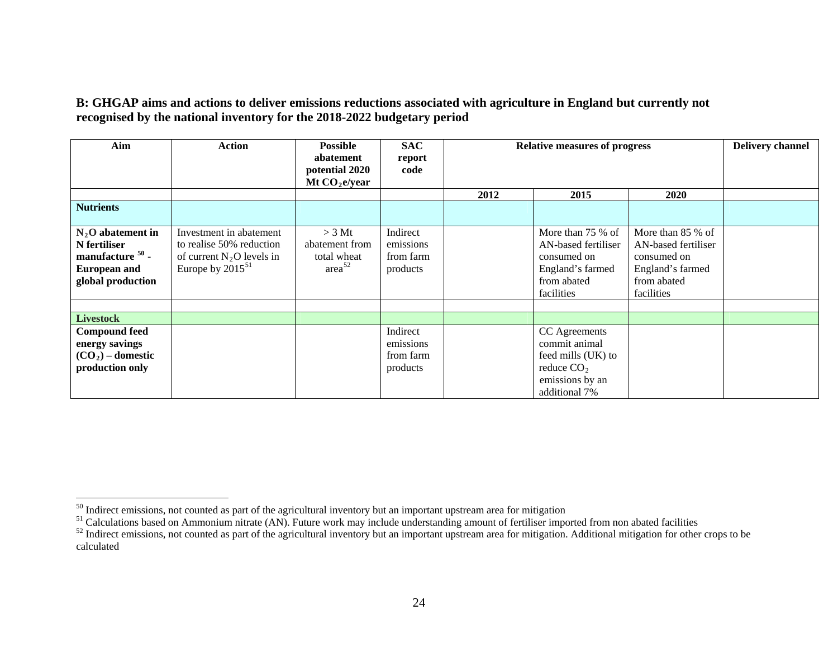#### **B: GHGAP aims and actions to deliver emissions reductions associated with agriculture in England but currently not recognised by the national inventory for the 2018-2022 budgetary period**

| Aim                                                                                                             | <b>Action</b>                                                                                               | <b>Possible</b><br>abatement<br>potential 2020<br>Mt $CO2e/year$ | <b>SAC</b><br>report<br>code                   |      | <b>Relative measures of progress</b>                                                                     |                                                                                                          |  |
|-----------------------------------------------------------------------------------------------------------------|-------------------------------------------------------------------------------------------------------------|------------------------------------------------------------------|------------------------------------------------|------|----------------------------------------------------------------------------------------------------------|----------------------------------------------------------------------------------------------------------|--|
|                                                                                                                 |                                                                                                             |                                                                  |                                                | 2012 | 2015                                                                                                     | 2020                                                                                                     |  |
| <b>Nutrients</b>                                                                                                |                                                                                                             |                                                                  |                                                |      |                                                                                                          |                                                                                                          |  |
| $N_2$ O abatement in<br>N fertiliser<br>manufacture <sup>50</sup> -<br><b>European and</b><br>global production | Investment in abatement<br>to realise 50% reduction<br>of current $N_2O$ levels in<br>Europe by $2015^{51}$ | $>$ 3 Mt<br>abatement from<br>total wheat<br>area <sup>52</sup>  | Indirect<br>emissions<br>from farm<br>products |      | More than 75 % of<br>AN-based fertiliser<br>consumed on<br>England's farmed<br>from abated<br>facilities | More than 85 % of<br>AN-based fertiliser<br>consumed on<br>England's farmed<br>from abated<br>facilities |  |
| <b>Livestock</b>                                                                                                |                                                                                                             |                                                                  |                                                |      |                                                                                                          |                                                                                                          |  |
| <b>Compound feed</b><br>energy savings<br>$(CO2)$ – domestic<br>production only                                 |                                                                                                             |                                                                  | Indirect<br>emissions<br>from farm<br>products |      | CC Agreements<br>commit animal<br>feed mills (UK) to<br>reduce $CO2$<br>emissions by an<br>additional 7% |                                                                                                          |  |

<span id="page-23-0"></span><sup>&</sup>lt;sup>50</sup> Indirect emissions, not counted as part of the agricultural inventory but an important upstream area for mitigation

<sup>&</sup>lt;sup>51</sup> Calculations based on Ammonium nitrate (AN). Future work may include understanding amount of fertiliser imported from non abated facilities

<span id="page-23-1"></span><sup>&</sup>lt;sup>52</sup> Indirect emissions, not counted as part of the agricultural inventory but an important upstream area for mitigation. Additional mitigation for other crops to be calculated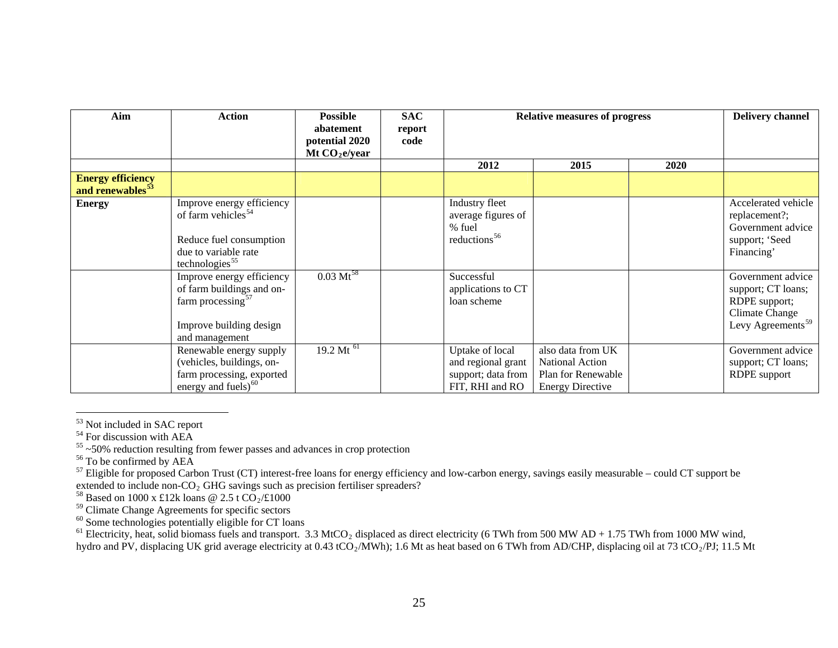| Aim                                                      | <b>Action</b>                                                                                                                                | <b>Possible</b><br>abatement<br>potential 2020<br>Mt $CO2e/year$ | <b>SAC</b><br>report<br>code | <b>Relative measures of progress</b>                                           | <b>Delivery channel</b>                                                                      |             |                                                                                                                    |
|----------------------------------------------------------|----------------------------------------------------------------------------------------------------------------------------------------------|------------------------------------------------------------------|------------------------------|--------------------------------------------------------------------------------|----------------------------------------------------------------------------------------------|-------------|--------------------------------------------------------------------------------------------------------------------|
|                                                          |                                                                                                                                              |                                                                  |                              | 2012                                                                           | 2015                                                                                         | <b>2020</b> |                                                                                                                    |
| <b>Energy efficiency</b><br>and renewables <sup>53</sup> |                                                                                                                                              |                                                                  |                              |                                                                                |                                                                                              |             |                                                                                                                    |
| <b>Energy</b>                                            | Improve energy efficiency<br>of farm vehicles <sup>54</sup><br>Reduce fuel consumption<br>due to variable rate<br>technologies <sup>55</sup> |                                                                  |                              | Industry fleet<br>average figures of<br>% fuel<br>reductions <sup>56</sup>     |                                                                                              |             | Accelerated vehicle<br>replacement?;<br>Government advice<br>support; 'Seed<br>Financing'                          |
|                                                          | Improve energy efficiency<br>of farm buildings and on-<br>farm processing $57$<br>Improve building design<br>and management                  | $0.03 \text{ Mt}^{58}$                                           |                              | Successful<br>applications to CT<br>loan scheme                                |                                                                                              |             | Government advice<br>support; CT loans;<br>RDPE support;<br><b>Climate Change</b><br>Levy Agreements <sup>59</sup> |
|                                                          | Renewable energy supply<br>(vehicles, buildings, on-<br>farm processing, exported<br>energy and fuels) <sup>60</sup>                         | $19.2 \overline{\mathrm{Mt}}^{61}$                               |                              | Uptake of local<br>and regional grant<br>support; data from<br>FIT, RHI and RO | also data from UK<br><b>National Action</b><br>Plan for Renewable<br><b>Energy Directive</b> |             | Government advice<br>support; CT loans;<br><b>RDPE</b> support                                                     |

<span id="page-24-0"></span><sup>&</sup>lt;sup>53</sup> Not included in SAC report

<span id="page-24-4"></span> $57$  Eligible for proposed Carbon Trust (CT) interest-free loans for energy efficiency and low-carbon energy, savings easily measurable – could CT support be extended to include non- $CO<sub>2</sub>$  GHG savings such as precision fertiliser spreaders?

<span id="page-24-6"></span><span id="page-24-5"></span><sup>58</sup> Based on 1000 x £12k loans @ 2.5 t  $CO_2/\text{\textsterling}1000$ 

<sup>59</sup> Climate Change Agreements for specific sectors

 $60$  Some technologies potentially eligible for CT loans

<span id="page-24-8"></span><span id="page-24-7"></span><sup>61</sup> Electricity, heat, solid biomass fuels and transport. 3.3 MtCO<sub>2</sub> displaced as direct electricity (6 TWh from 500 MW AD + 1.75 TWh from 1000 MW wind, hydro and PV, displacing UK grid average electricity at 0.43 tCO<sub>2</sub>/MWh); 1.6 Mt as heat based on 6 TWh from AD/CHP, displacing oil at 73 tCO<sub>2</sub>/PJ; 11.5 Mt

<span id="page-24-2"></span><span id="page-24-1"></span><sup>&</sup>lt;sup>54</sup> For discussion with AEA<br><sup>55</sup> ~50% reduction resulting from fewer passes and advances in crop protection

<span id="page-24-3"></span> $56$  To be confirmed by AEA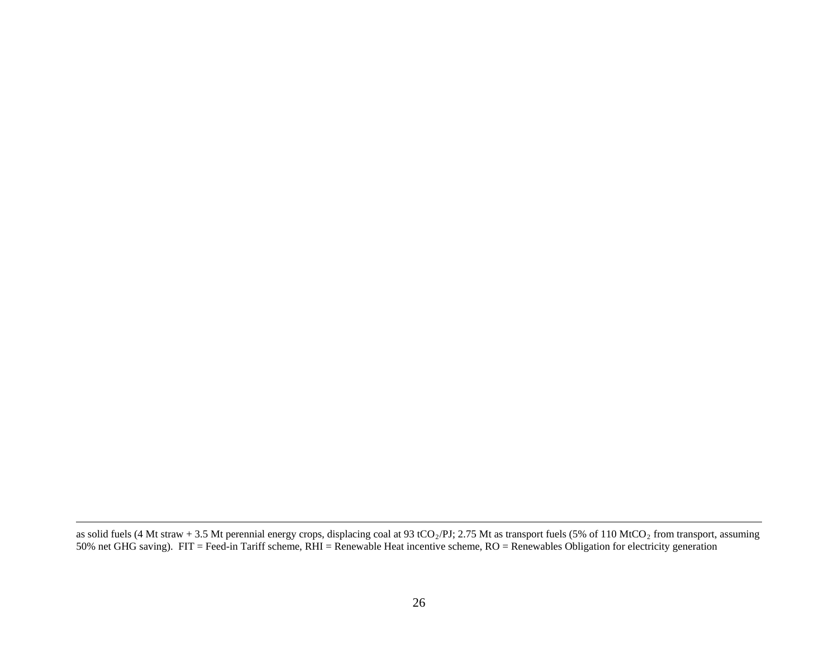as solid fuels (4 Mt straw + 3.5 Mt perennial energy crops, displacing coal at 93 tCO<sub>2</sub>/PJ; 2.75 Mt as transport fuels (5% of 110 MtCO<sub>2</sub> from transport, assuming 50% net GHG saving). FIT = Feed-in Tariff scheme, RHI = Renewable Heat incentive scheme, RO = Renewables Obligation for electricity generation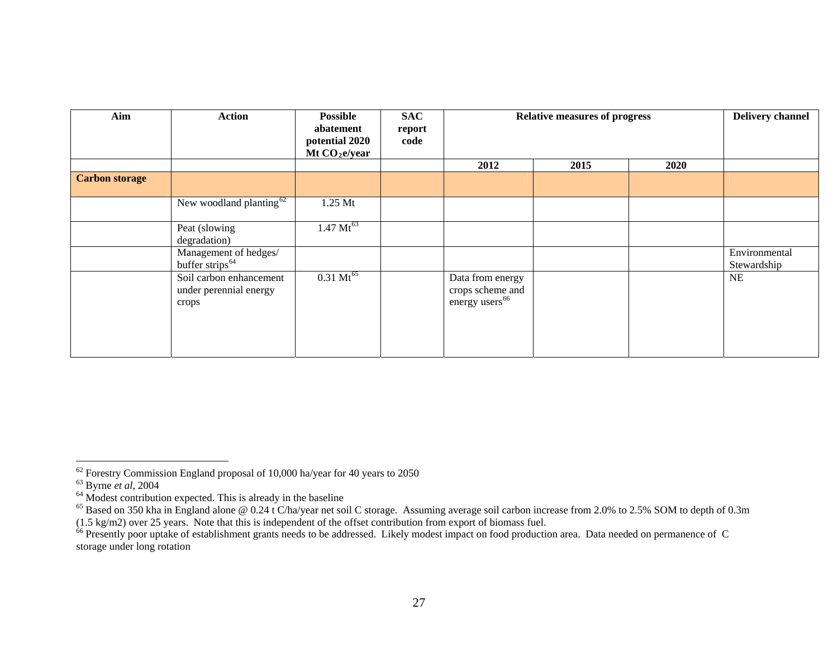| Aim                   | <b>Action</b>                                              | <b>Possible</b><br>abatement<br>potential 2020<br>Mt $CO2e/year$ | <b>SAC</b><br>report<br>code | <b>Relative measures of progress</b>                               |      |      | <b>Delivery channel</b>      |
|-----------------------|------------------------------------------------------------|------------------------------------------------------------------|------------------------------|--------------------------------------------------------------------|------|------|------------------------------|
|                       |                                                            |                                                                  |                              | 2012                                                               | 2015 | 2020 |                              |
| <b>Carbon storage</b> |                                                            |                                                                  |                              |                                                                    |      |      |                              |
|                       | New woodland planting $62$                                 | 1.25 Mt                                                          |                              |                                                                    |      |      |                              |
|                       | Peat (slowing<br>degradation)                              | $1.47 \text{ Mt}^{63}$                                           |                              |                                                                    |      |      |                              |
|                       | Management of hedges/<br>buffer strips <sup>64</sup>       |                                                                  |                              |                                                                    |      |      | Environmental<br>Stewardship |
|                       | Soil carbon enhancement<br>under perennial energy<br>crops | $0.31 \text{ Mt}^{65}$                                           |                              | Data from energy<br>crops scheme and<br>energy users <sup>66</sup> |      |      | NE                           |

<span id="page-26-0"></span> $62$  Forestry Commission England proposal of 10,000 ha/year for 40 years to 2050

<span id="page-26-1"></span><sup>63</sup> Byrne *et al*, <sup>2004</sup>

<span id="page-26-2"></span> $64$  Modest contribution expected. This is already in the baseline

<span id="page-26-3"></span> $^{65}$  Based on 350 kha in England alone @ 0.24 t C/ha/year net soil C storage. Assuming average soil carbon increase from 2.0% to 2.5% SOM to depth of 0.3m (1.5 kg/m2) over 25 years. Note that this is independent of the offset contribution from export of biomass fuel.

<span id="page-26-4"></span><sup>&</sup>lt;sup>66</sup> Presently poor uptake of establishment grants needs to be addressed. Likely modest impact on food production area. Data needed on permanence of C storage under long rotation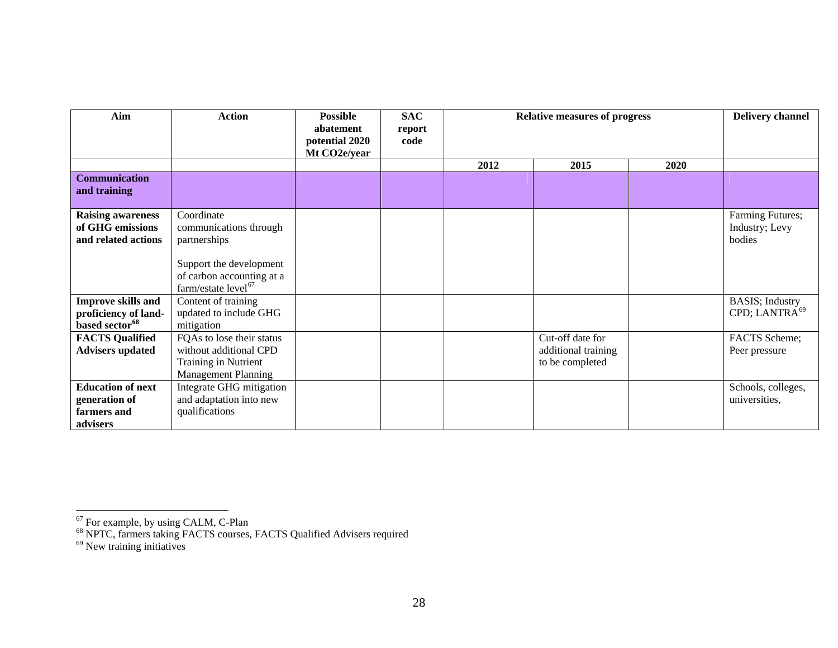| Aim                        | <b>Action</b>                   | <b>Possible</b> | <b>SAC</b> | <b>Relative measures of progress</b> |                     |             | <b>Delivery channel</b>   |
|----------------------------|---------------------------------|-----------------|------------|--------------------------------------|---------------------|-------------|---------------------------|
|                            |                                 | abatement       | report     |                                      |                     |             |                           |
|                            |                                 | potential 2020  | code       |                                      |                     |             |                           |
|                            |                                 | Mt CO2e/year    |            |                                      |                     |             |                           |
|                            |                                 |                 |            | 2012                                 | 2015                | <b>2020</b> |                           |
| <b>Communication</b>       |                                 |                 |            |                                      |                     |             |                           |
| and training               |                                 |                 |            |                                      |                     |             |                           |
|                            |                                 |                 |            |                                      |                     |             |                           |
| <b>Raising awareness</b>   | Coordinate                      |                 |            |                                      |                     |             | Farming Futures;          |
| of GHG emissions           | communications through          |                 |            |                                      |                     |             | Industry; Levy            |
| and related actions        | partnerships                    |                 |            |                                      |                     |             | bodies                    |
|                            |                                 |                 |            |                                      |                     |             |                           |
|                            | Support the development         |                 |            |                                      |                     |             |                           |
|                            | of carbon accounting at a       |                 |            |                                      |                     |             |                           |
|                            | farm/estate level <sup>67</sup> |                 |            |                                      |                     |             |                           |
| <b>Improve skills and</b>  | Content of training             |                 |            |                                      |                     |             | <b>BASIS</b> ; Industry   |
| proficiency of land-       | updated to include GHG          |                 |            |                                      |                     |             | CPD; LANTRA <sup>69</sup> |
| based sector <sup>68</sup> | mitigation                      |                 |            |                                      |                     |             |                           |
| <b>FACTS Qualified</b>     | FQAs to lose their status       |                 |            |                                      | Cut-off date for    |             | FACTS Scheme;             |
| <b>Advisers updated</b>    | without additional CPD          |                 |            |                                      | additional training |             | Peer pressure             |
|                            | Training in Nutrient            |                 |            |                                      | to be completed     |             |                           |
|                            | <b>Management Planning</b>      |                 |            |                                      |                     |             |                           |
| <b>Education of next</b>   | Integrate GHG mitigation        |                 |            |                                      |                     |             | Schools, colleges,        |
| generation of              | and adaptation into new         |                 |            |                                      |                     |             | universities,             |
| farmers and                | qualifications                  |                 |            |                                      |                     |             |                           |
| advisers                   |                                 |                 |            |                                      |                     |             |                           |

<span id="page-27-0"></span> $67$  For example, by using CALM, C-Plan

<span id="page-27-1"></span><sup>&</sup>lt;sup>68</sup> NPTC, farmers taking FACTS courses, FACTS Qualified Advisers required

<span id="page-27-2"></span><sup>&</sup>lt;sup>69</sup> New training initiatives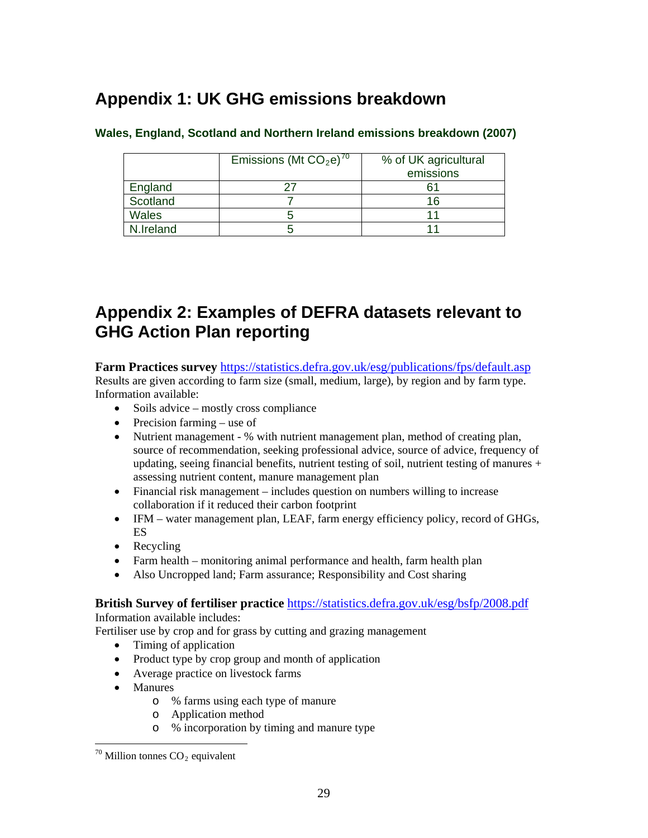# <span id="page-28-0"></span>**Appendix 1: UK GHG emissions breakdown**

|           | Emissions (Mt $CO2e$ ) <sup>70</sup> | % of UK agricultural<br>emissions |
|-----------|--------------------------------------|-----------------------------------|
| England   |                                      |                                   |
| Scotland  |                                      | 16                                |
| Wales     |                                      |                                   |
| N.Ireland |                                      |                                   |

#### **Wales, England, Scotland and Northern Ireland emissions breakdown (2007)**

# <span id="page-28-1"></span>**Appendix 2: Examples of DEFRA datasets relevant to GHG Action Plan reporting**

**Farm Practices survey** <https://statistics.defra.gov.uk/esg/publications/fps/default.asp> Results are given according to farm size (small, medium, large), by region and by farm type. Information available:

- Soils advice mostly cross compliance
- $\bullet$  Precision farming use of
- Nutrient management % with nutrient management plan, method of creating plan, source of recommendation, seeking professional advice, source of advice, frequency of updating, seeing financial benefits, nutrient testing of soil, nutrient testing of manures  $+$ assessing nutrient content, manure management plan
- Financial risk management includes question on numbers willing to increase collaboration if it reduced their carbon footprint
- IFM water management plan, LEAF, farm energy efficiency policy, record of GHGs, ES
- Recycling
- Farm health monitoring animal performance and health, farm health plan
- Also Uncropped land; Farm assurance; Responsibility and Cost sharing

**British Survey of fertiliser practice** <https://statistics.defra.gov.uk/esg/bsfp/2008.pdf>

Information available includes:

Fertiliser use by crop and for grass by cutting and grazing management

- Timing of application
- Product type by crop group and month of application
- Average practice on livestock farms
- Manures

- o % farms using each type of manure
- o Application method
- o % incorporation by timing and manure type

<span id="page-28-2"></span> $70$  Million tonnes  $CO<sub>2</sub>$  equivalent